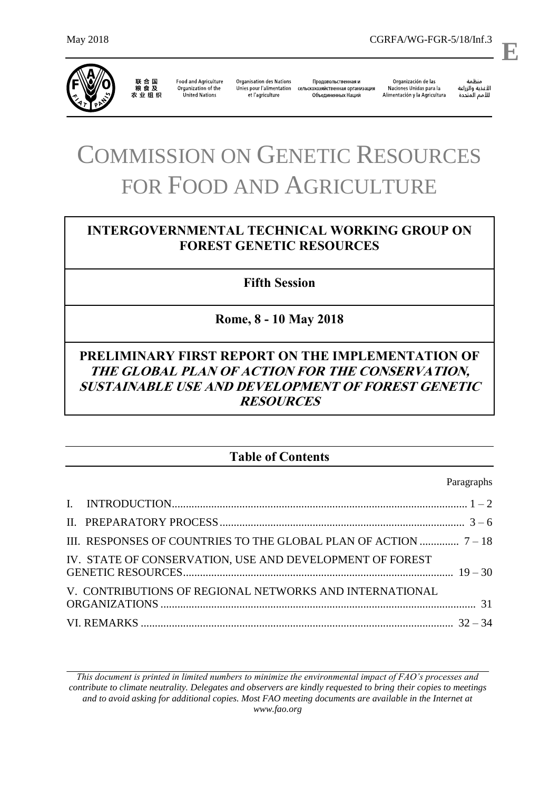

联合国<br>粮食及 **Food and Agriculture** 农业组织

Organization of the United Nations et l'agriculture

**Organisation des Nations** Продовольственная и Unies pour l'alimentation сельскохозяйственная организация Объединенных Наций

Organización de las Naciones Unidas para la Alimentación y la Agricultura

منظمة ستنسه<br>الأغذية والزراعة<br>للأمم المتددة

l,

**E**

# COMMISSION ON GENETIC RESOURCES FOR FOOD AND AGRICULTURE

# **INTERGOVERNMENTAL TECHNICAL WORKING GROUP ON FOREST GENETIC RESOURCES**

**Fifth Session**

**Rome, 8 - 10 May 2018**

# **PRELIMINARY FIRST REPORT ON THE IMPLEMENTATION OF THE GLOBAL PLAN OF ACTION FOR THE CONSERVATION, SUSTAINABLE USE AND DEVELOPMENT OF FOREST GENETIC RESOURCES**

# **Table of Contents**

Paragraphs

| IV. STATE OF CONSERVATION, USE AND DEVELOPMENT OF FOREST |  |
|----------------------------------------------------------|--|
| V. CONTRIBUTIONS OF REGIONAL NETWORKS AND INTERNATIONAL  |  |
|                                                          |  |

*This document is printed in limited numbers to minimize the environmental impact of FAO's processes and contribute to climate neutrality. Delegates and observers are kindly requested to bring their copies to meetings and to avoid asking for additional copies. Most FAO meeting documents are available in the Internet at www.fao.org*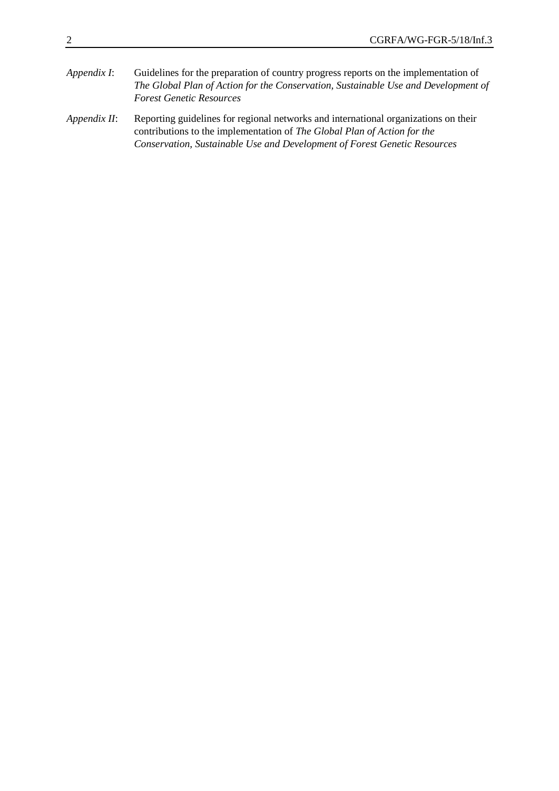- *Appendix I*: Guidelines for the preparation of country progress reports on the implementation of *The Global Plan of Action for the Conservation, Sustainable Use and Development of Forest Genetic Resources*
- *Appendix II*: Reporting guidelines for regional networks and international organizations on their contributions to the implementation of *The Global Plan of Action for the Conservation, Sustainable Use and Development of Forest Genetic Resources*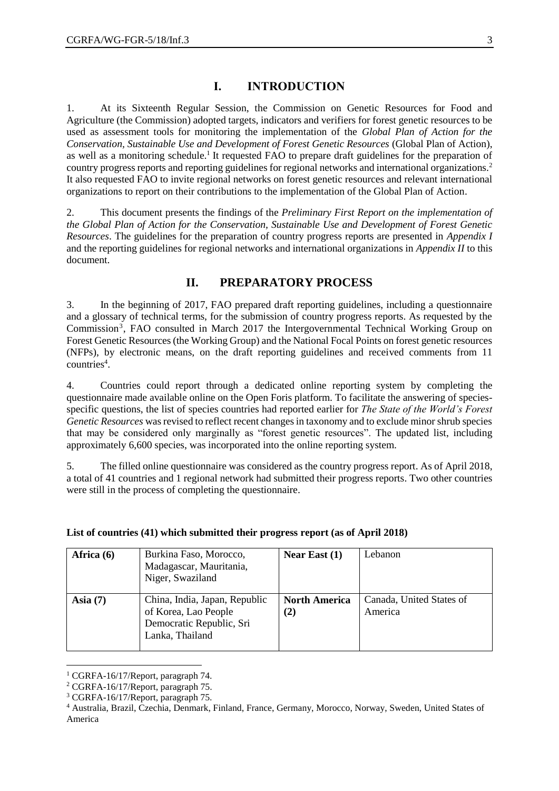#### **I. INTRODUCTION**

1. At its Sixteenth Regular Session, the Commission on Genetic Resources for Food and Agriculture (the Commission) adopted targets, indicators and verifiers for forest genetic resources to be used as assessment tools for monitoring the implementation of the *Global Plan of Action for the Conservation, Sustainable Use and Development of Forest Genetic Resources* (Global Plan of Action), as well as a monitoring schedule.<sup>1</sup> It requested FAO to prepare draft guidelines for the preparation of country progress reports and reporting guidelines for regional networks and international organizations.<sup>2</sup> It also requested FAO to invite regional networks on forest genetic resources and relevant international organizations to report on their contributions to the implementation of the Global Plan of Action.

2. This document presents the findings of the *Preliminary First Report on the implementation of the Global Plan of Action for the Conservation, Sustainable Use and Development of Forest Genetic Resources*. The guidelines for the preparation of country progress reports are presented in *Appendix I* and the reporting guidelines for regional networks and international organizations in *Appendix II* to this document.

### **II. PREPARATORY PROCESS**

3. In the beginning of 2017, FAO prepared draft reporting guidelines, including a questionnaire and a glossary of technical terms, for the submission of country progress reports. As requested by the Commission<sup>3</sup>, FAO consulted in March 2017 the Intergovernmental Technical Working Group on Forest Genetic Resources (the Working Group) and the National Focal Points on forest genetic resources (NFPs), by electronic means, on the draft reporting guidelines and received comments from 11 countries<sup>4</sup>.

4. Countries could report through a dedicated online reporting system by completing the questionnaire made available online on the Open Foris platform. To facilitate the answering of speciesspecific questions, the list of species countries had reported earlier for *The State of the World's Forest Genetic Resources* was revised to reflect recent changes in taxonomy and to exclude minor shrub species that may be considered only marginally as "forest genetic resources". The updated list, including approximately 6,600 species, was incorporated into the online reporting system.

5. The filled online questionnaire was considered as the country progress report. As of April 2018, a total of 41 countries and 1 regional network had submitted their progress reports. Two other countries were still in the process of completing the questionnaire.

| Africa $(6)$ | Burkina Faso, Morocco,<br>Madagascar, Mauritania,<br>Niger, Swaziland                                | Near East $(1)$             | Lebanon                             |
|--------------|------------------------------------------------------------------------------------------------------|-----------------------------|-------------------------------------|
| Asia $(7)$   | China, India, Japan, Republic<br>of Korea, Lao People<br>Democratic Republic, Sri<br>Lanka, Thailand | <b>North America</b><br>(2) | Canada, United States of<br>America |

#### **List of countries (41) which submitted their progress report (as of April 2018)**

l

<sup>&</sup>lt;sup>1</sup> CGRFA-16/17/Report, paragraph 74.

<sup>2</sup> CGRFA-16/17/Report, paragraph 75.

<sup>3</sup> CGRFA-16/17/Report, paragraph 75.

<sup>4</sup> Australia, Brazil, Czechia, Denmark, Finland, France, Germany, Morocco, Norway, Sweden, United States of America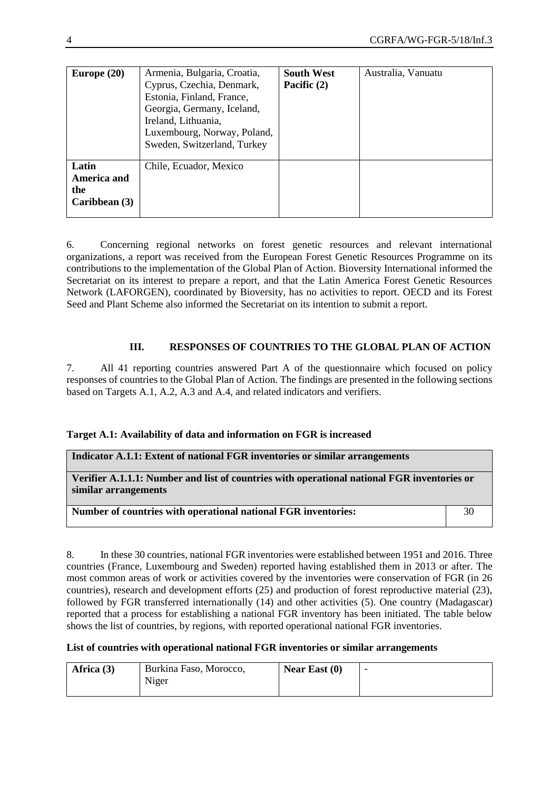| Europe $(20)$                                | Armenia, Bulgaria, Croatia,<br>Cyprus, Czechia, Denmark,<br>Estonia, Finland, France,<br>Georgia, Germany, Iceland,<br>Ireland, Lithuania,<br>Luxembourg, Norway, Poland,<br>Sweden, Switzerland, Turkey | <b>South West</b><br>Pacific (2) | Australia, Vanuatu |
|----------------------------------------------|----------------------------------------------------------------------------------------------------------------------------------------------------------------------------------------------------------|----------------------------------|--------------------|
| Latin<br>America and<br>the<br>Caribbean (3) | Chile, Ecuador, Mexico                                                                                                                                                                                   |                                  |                    |

6. Concerning regional networks on forest genetic resources and relevant international organizations, a report was received from the European Forest Genetic Resources Programme on its contributions to the implementation of the Global Plan of Action. Bioversity International informed the Secretariat on its interest to prepare a report, and that the Latin America Forest Genetic Resources Network (LAFORGEN), coordinated by Bioversity, has no activities to report. OECD and its Forest Seed and Plant Scheme also informed the Secretariat on its intention to submit a report.

#### **III. RESPONSES OF COUNTRIES TO THE GLOBAL PLAN OF ACTION**

7. All 41 reporting countries answered Part A of the questionnaire which focused on policy responses of countries to the Global Plan of Action. The findings are presented in the following sections based on Targets A.1, A.2, A.3 and A.4, and related indicators and verifiers.

#### **Target A.1: Availability of data and information on FGR is increased**

| Indicator A.1.1: Extent of national FGR inventories or similar arrangements                                         |  |  |
|---------------------------------------------------------------------------------------------------------------------|--|--|
| Verifier A.1.1.1: Number and list of countries with operational national FGR inventories or<br>similar arrangements |  |  |
| Number of countries with operational national FGR inventories:                                                      |  |  |

8. In these 30 countries, national FGR inventories were established between 1951 and 2016. Three countries (France, Luxembourg and Sweden) reported having established them in 2013 or after. The most common areas of work or activities covered by the inventories were conservation of FGR (in 26 countries), research and development efforts (25) and production of forest reproductive material (23), followed by FGR transferred internationally (14) and other activities (5). One country (Madagascar) reported that a process for establishing a national FGR inventory has been initiated. The table below shows the list of countries, by regions, with reported operational national FGR inventories.

#### **List of countries with operational national FGR inventories or similar arrangements**

| Africa $(3)$ | Burkina Faso, Morocco, | Near East $(0)$ | $\overline{\phantom{0}}$ |
|--------------|------------------------|-----------------|--------------------------|
|              | Niger                  |                 |                          |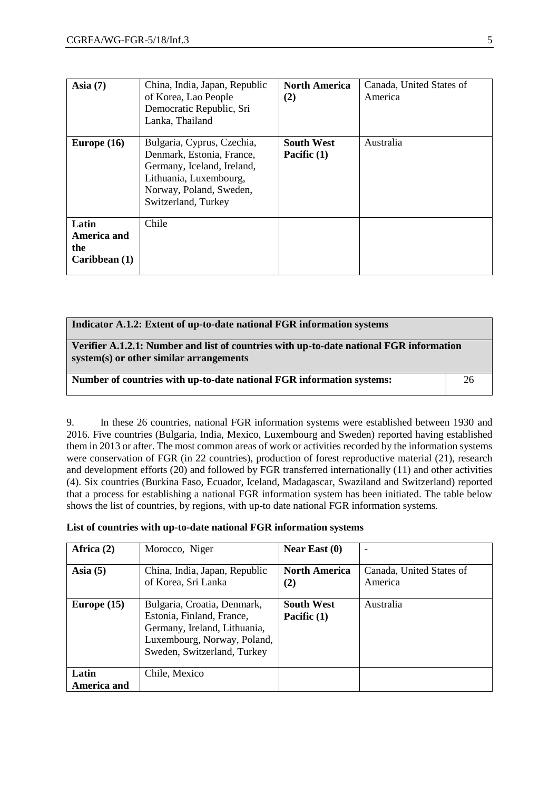| Asia $(7)$                                   | China, India, Japan, Republic<br>of Korea, Lao People<br>Democratic Republic, Sri<br>Lanka, Thailand                                                              | <b>North America</b><br>(2)        | Canada, United States of<br>America |
|----------------------------------------------|-------------------------------------------------------------------------------------------------------------------------------------------------------------------|------------------------------------|-------------------------------------|
| Europe $(16)$                                | Bulgaria, Cyprus, Czechia,<br>Denmark, Estonia, France,<br>Germany, Iceland, Ireland,<br>Lithuania, Luxembourg,<br>Norway, Poland, Sweden,<br>Switzerland, Turkey | <b>South West</b><br>Pacific $(1)$ | Australia                           |
| Latin<br>America and<br>the<br>Caribbean (1) | Chile                                                                                                                                                             |                                    |                                     |

| Indicator A.1.2: Extent of up-to-date national FGR information systems                                                             |    |  |
|------------------------------------------------------------------------------------------------------------------------------------|----|--|
| Verifier A.1.2.1: Number and list of countries with up-to-date national FGR information<br>system(s) or other similar arrangements |    |  |
| Number of countries with up-to-date national FGR information systems:                                                              | 26 |  |

9. In these 26 countries, national FGR information systems were established between 1930 and 2016. Five countries (Bulgaria, India, Mexico, Luxembourg and Sweden) reported having established them in 2013 or after. The most common areas of work or activities recorded by the information systems were conservation of FGR (in 22 countries), production of forest reproductive material (21), research and development efforts (20) and followed by FGR transferred internationally (11) and other activities (4). Six countries (Burkina Faso, Ecuador, Iceland, Madagascar, Swaziland and Switzerland) reported that a process for establishing a national FGR information system has been initiated. The table below shows the list of countries, by regions, with up-to date national FGR information systems.

**List of countries with up-to-date national FGR information systems**

| Africa $(2)$         | Morocco, Niger                                                                                                                                         | Near East $(0)$                  | $\overline{\phantom{0}}$            |
|----------------------|--------------------------------------------------------------------------------------------------------------------------------------------------------|----------------------------------|-------------------------------------|
| Asia $(5)$           | China, India, Japan, Republic<br>of Korea, Sri Lanka                                                                                                   | <b>North America</b><br>(2)      | Canada, United States of<br>America |
| Europe $(15)$        | Bulgaria, Croatia, Denmark,<br>Estonia, Finland, France,<br>Germany, Ireland, Lithuania,<br>Luxembourg, Norway, Poland,<br>Sweden, Switzerland, Turkey | <b>South West</b><br>Pacific (1) | Australia                           |
| Latin<br>America and | Chile, Mexico                                                                                                                                          |                                  |                                     |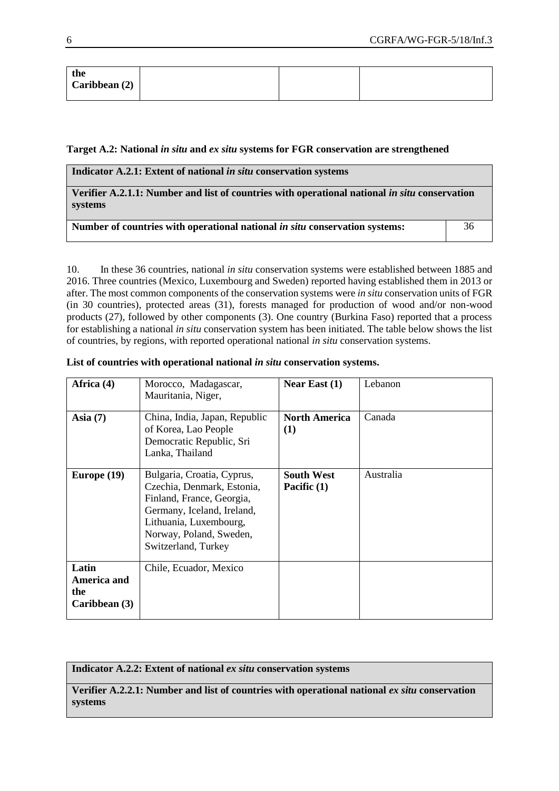| the           |  |  |
|---------------|--|--|
| Caribbean (2) |  |  |
|               |  |  |

#### **Target A.2: National** *in situ* **and** *ex situ* **systems for FGR conservation are strengthened**

| Indicator A.2.1: Extent of national in situ conservation systems                                         |    |  |  |
|----------------------------------------------------------------------------------------------------------|----|--|--|
| Verifier A.2.1.1: Number and list of countries with operational national in situ conservation<br>systems |    |  |  |
| Number of countries with operational national <i>in situ</i> conservation systems:                       | 36 |  |  |

10. In these 36 countries, national *in situ* conservation systems were established between 1885 and 2016. Three countries (Mexico, Luxembourg and Sweden) reported having established them in 2013 or after. The most common components of the conservation systems were *in situ* conservation units of FGR (in 30 countries), protected areas (31), forests managed for production of wood and/or non-wood products (27), followed by other components (3). One country (Burkina Faso) reported that a process for establishing a national *in situ* conservation system has been initiated. The table below shows the list of countries, by regions, with reported operational national *in situ* conservation systems.

| Africa (4)                                   | Morocco, Madagascar,<br>Mauritania, Niger,                                                                                                                                                      | Near East $(1)$                    | Lebanon   |
|----------------------------------------------|-------------------------------------------------------------------------------------------------------------------------------------------------------------------------------------------------|------------------------------------|-----------|
| Asia $(7)$                                   | China, India, Japan, Republic<br>of Korea, Lao People<br>Democratic Republic, Sri<br>Lanka, Thailand                                                                                            | <b>North America</b><br>(1)        | Canada    |
| Europe $(19)$                                | Bulgaria, Croatia, Cyprus,<br>Czechia, Denmark, Estonia,<br>Finland, France, Georgia,<br>Germany, Iceland, Ireland,<br>Lithuania, Luxembourg,<br>Norway, Poland, Sweden,<br>Switzerland, Turkey | <b>South West</b><br>Pacific $(1)$ | Australia |
| Latin<br>America and<br>the<br>Caribbean (3) | Chile, Ecuador, Mexico                                                                                                                                                                          |                                    |           |

#### List of countries with operational national *in situ* conservation systems.

**Indicator A.2.2: Extent of national** *ex situ* **conservation systems**

**Verifier A.2.2.1: Number and list of countries with operational national** *ex situ* **conservation systems**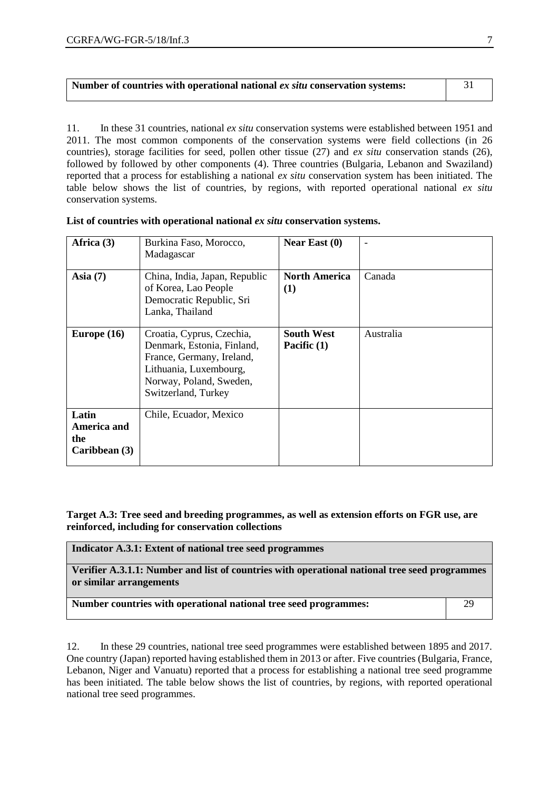| Number of countries with operational national ex situ conservation systems: |  |
|-----------------------------------------------------------------------------|--|
|                                                                             |  |

11. In these 31 countries, national *ex situ* conservation systems were established between 1951 and 2011. The most common components of the conservation systems were field collections (in 26 countries), storage facilities for seed, pollen other tissue (27) and *ex situ* conservation stands (26), followed by followed by other components (4). Three countries (Bulgaria, Lebanon and Swaziland) reported that a process for establishing a national *ex situ* conservation system has been initiated. The table below shows the list of countries, by regions, with reported operational national *ex situ* conservation systems.

| Africa (3)                                   | Burkina Faso, Morocco,<br>Madagascar                                                                                                                             | Near East $(0)$                    | $\overline{\phantom{0}}$ |
|----------------------------------------------|------------------------------------------------------------------------------------------------------------------------------------------------------------------|------------------------------------|--------------------------|
| Asia $(7)$                                   | China, India, Japan, Republic<br>of Korea, Lao People<br>Democratic Republic, Sri<br>Lanka, Thailand                                                             | <b>North America</b><br>(1)        | Canada                   |
| Europe $(16)$                                | Croatia, Cyprus, Czechia,<br>Denmark, Estonia, Finland,<br>France, Germany, Ireland,<br>Lithuania, Luxembourg,<br>Norway, Poland, Sweden,<br>Switzerland, Turkey | <b>South West</b><br>Pacific $(1)$ | Australia                |
| Latin<br>America and<br>the<br>Caribbean (3) | Chile, Ecuador, Mexico                                                                                                                                           |                                    |                          |

| List of countries with operational national ex situ conservation systems. |  |  |
|---------------------------------------------------------------------------|--|--|
|---------------------------------------------------------------------------|--|--|

**Target A.3: Tree seed and breeding programmes, as well as extension efforts on FGR use, are reinforced, including for conservation collections**

**Indicator A.3.1: Extent of national tree seed programmes Verifier A.3.1.1: Number and list of countries with operational national tree seed programmes or similar arrangements Number countries with operational national tree seed programmes:** 29

12. In these 29 countries, national tree seed programmes were established between 1895 and 2017. One country (Japan) reported having established them in 2013 or after. Five countries (Bulgaria, France, Lebanon, Niger and Vanuatu) reported that a process for establishing a national tree seed programme has been initiated. The table below shows the list of countries, by regions, with reported operational national tree seed programmes.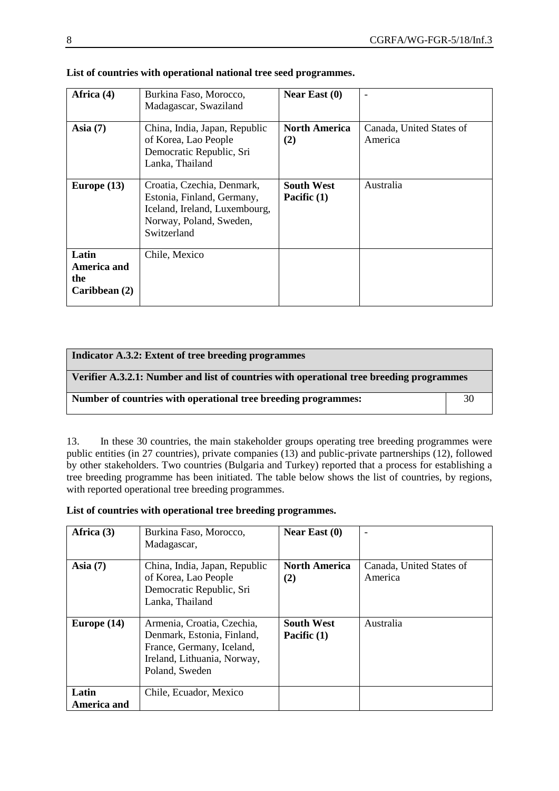| Africa (4)                                   | Burkina Faso, Morocco,<br>Madagascar, Swaziland                                                                                     | Near East $(0)$                  | $\overline{\phantom{0}}$            |
|----------------------------------------------|-------------------------------------------------------------------------------------------------------------------------------------|----------------------------------|-------------------------------------|
| Asia $(7)$                                   | China, India, Japan, Republic<br>of Korea, Lao People<br>Democratic Republic, Sri<br>Lanka, Thailand                                | <b>North America</b><br>(2)      | Canada, United States of<br>America |
| Europe $(13)$                                | Croatia, Czechia, Denmark,<br>Estonia, Finland, Germany,<br>Iceland, Ireland, Luxembourg,<br>Norway, Poland, Sweden,<br>Switzerland | <b>South West</b><br>Pacific (1) | Australia                           |
| Latin<br>America and<br>the<br>Caribbean (2) | Chile, Mexico                                                                                                                       |                                  |                                     |

|  |  |  |  |  |  | List of countries with operational national tree seed programmes. |
|--|--|--|--|--|--|-------------------------------------------------------------------|
|--|--|--|--|--|--|-------------------------------------------------------------------|

| Indicator A.3.2: Extent of tree breeding programmes                                      |    |  |
|------------------------------------------------------------------------------------------|----|--|
| Verifier A.3.2.1: Number and list of countries with operational tree breeding programmes |    |  |
| Number of countries with operational tree breeding programmes:                           | 30 |  |

13. In these 30 countries, the main stakeholder groups operating tree breeding programmes were public entities (in 27 countries), private companies (13) and public-private partnerships (12), followed by other stakeholders. Two countries (Bulgaria and Turkey) reported that a process for establishing a tree breeding programme has been initiated. The table below shows the list of countries, by regions, with reported operational tree breeding programmes.

**List of countries with operational tree breeding programmes.**

| Africa (3)    | Burkina Faso, Morocco,<br>Madagascar,                                                                                                  | Near East $(0)$                  | $\overline{\phantom{0}}$            |
|---------------|----------------------------------------------------------------------------------------------------------------------------------------|----------------------------------|-------------------------------------|
| Asia $(7)$    | China, India, Japan, Republic<br>of Korea, Lao People<br>Democratic Republic, Sri<br>Lanka, Thailand                                   | <b>North America</b><br>(2)      | Canada, United States of<br>America |
| Europe $(14)$ | Armenia, Croatia, Czechia,<br>Denmark, Estonia, Finland,<br>France, Germany, Iceland,<br>Ireland, Lithuania, Norway,<br>Poland, Sweden | <b>South West</b><br>Pacific (1) | Australia                           |
| Latin         | Chile, Ecuador, Mexico                                                                                                                 |                                  |                                     |
| America and   |                                                                                                                                        |                                  |                                     |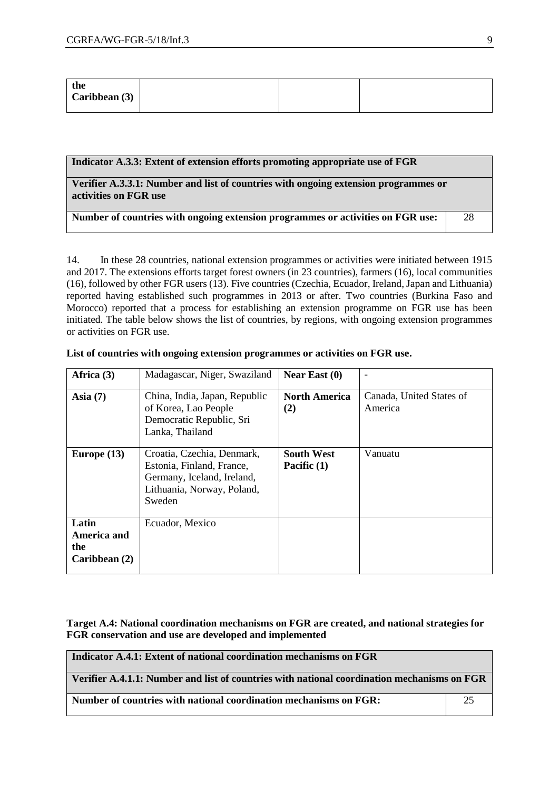| the<br>Caribbean (3) |  |  |  |
|----------------------|--|--|--|
|----------------------|--|--|--|

| Indicator A.3.3: Extent of extension efforts promoting appropriate use of FGR                                |    |
|--------------------------------------------------------------------------------------------------------------|----|
| Verifier A.3.3.1: Number and list of countries with ongoing extension programmes or<br>activities on FGR use |    |
| Number of countries with ongoing extension programmes or activities on FGR use:                              | 28 |

14. In these 28 countries, national extension programmes or activities were initiated between 1915 and 2017. The extensions efforts target forest owners (in 23 countries), farmers (16), local communities (16), followed by other FGR users (13). Five countries (Czechia, Ecuador, Ireland, Japan and Lithuania) reported having established such programmes in 2013 or after. Two countries (Burkina Faso and Morocco) reported that a process for establishing an extension programme on FGR use has been initiated. The table below shows the list of countries, by regions, with ongoing extension programmes or activities on FGR use.

| Africa (3)                                   | Madagascar, Niger, Swaziland                                                                                                  | Near East $(0)$                    | $\overline{\phantom{a}}$            |
|----------------------------------------------|-------------------------------------------------------------------------------------------------------------------------------|------------------------------------|-------------------------------------|
| Asia $(7)$                                   | China, India, Japan, Republic<br>of Korea, Lao People<br>Democratic Republic, Sri<br>Lanka, Thailand                          | <b>North America</b><br>(2)        | Canada, United States of<br>America |
| Europe $(13)$                                | Croatia, Czechia, Denmark,<br>Estonia, Finland, France,<br>Germany, Iceland, Ireland,<br>Lithuania, Norway, Poland,<br>Sweden | <b>South West</b><br>Pacific $(1)$ | Vanuatu                             |
| Latin<br>America and<br>the<br>Caribbean (2) | Ecuador, Mexico                                                                                                               |                                    |                                     |

**List of countries with ongoing extension programmes or activities on FGR use.**

**Target A.4: National coordination mechanisms on FGR are created, and national strategies for FGR conservation and use are developed and implemented**

| Indicator A.4.1: Extent of national coordination mechanisms on FGR                          |  |  |
|---------------------------------------------------------------------------------------------|--|--|
| Verifier A.4.1.1: Number and list of countries with national coordination mechanisms on FGR |  |  |
| Number of countries with national coordination mechanisms on FGR:                           |  |  |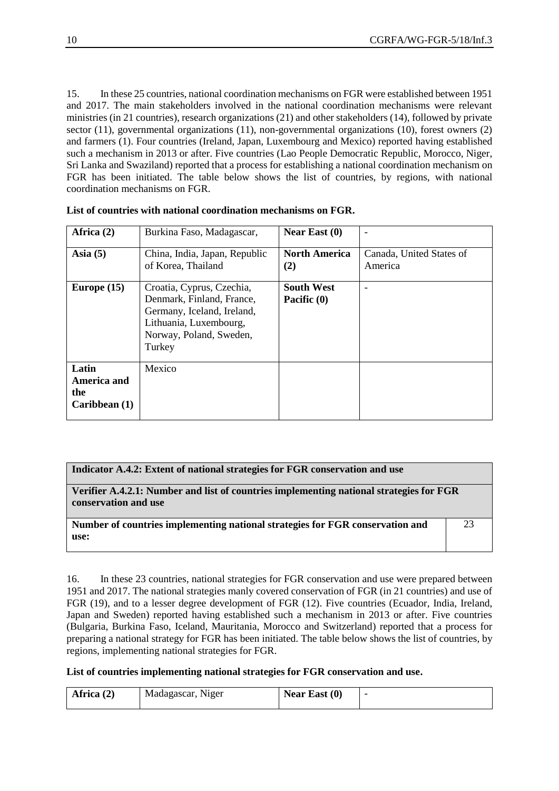15. In these 25 countries, national coordination mechanisms on FGR were established between 1951 and 2017. The main stakeholders involved in the national coordination mechanisms were relevant ministries (in 21 countries), research organizations (21) and other stakeholders (14), followed by private sector (11), governmental organizations (11), non-governmental organizations (10), forest owners (2) and farmers (1). Four countries (Ireland, Japan, Luxembourg and Mexico) reported having established such a mechanism in 2013 or after. Five countries (Lao People Democratic Republic, Morocco, Niger, Sri Lanka and Swaziland) reported that a process for establishing a national coordination mechanism on FGR has been initiated. The table below shows the list of countries, by regions, with national coordination mechanisms on FGR.

| Africa (2)                                          | Burkina Faso, Madagascar,                                                                                                                           | Near East $(0)$                  | $\overline{\phantom{a}}$            |
|-----------------------------------------------------|-----------------------------------------------------------------------------------------------------------------------------------------------------|----------------------------------|-------------------------------------|
| Asia $(5)$                                          | China, India, Japan, Republic<br>of Korea, Thailand                                                                                                 | <b>North America</b><br>(2)      | Canada, United States of<br>America |
| Europe $(15)$                                       | Croatia, Cyprus, Czechia,<br>Denmark, Finland, France,<br>Germany, Iceland, Ireland,<br>Lithuania, Luxembourg,<br>Norway, Poland, Sweden,<br>Turkey | <b>South West</b><br>Pacific (0) | ۰                                   |
| Latin<br><b>America and</b><br>the<br>Caribbean (1) | Mexico                                                                                                                                              |                                  |                                     |

#### **Indicator A.4.2: Extent of national strategies for FGR conservation and use**

**Verifier A.4.2.1: Number and list of countries implementing national strategies for FGR conservation and use**

**Number of countries implementing national strategies for FGR conservation and use:**

23

16. In these 23 countries, national strategies for FGR conservation and use were prepared between 1951 and 2017. The national strategies manly covered conservation of FGR (in 21 countries) and use of FGR (19), and to a lesser degree development of FGR (12). Five countries (Ecuador, India, Ireland, Japan and Sweden) reported having established such a mechanism in 2013 or after. Five countries (Bulgaria, Burkina Faso, Iceland, Mauritania, Morocco and Switzerland) reported that a process for preparing a national strategy for FGR has been initiated. The table below shows the list of countries, by regions, implementing national strategies for FGR.

**List of countries implementing national strategies for FGR conservation and use.**

| Africa $(2)$ | Madagascar, Niger | Near East $(0)$ |  |
|--------------|-------------------|-----------------|--|
|              |                   |                 |  |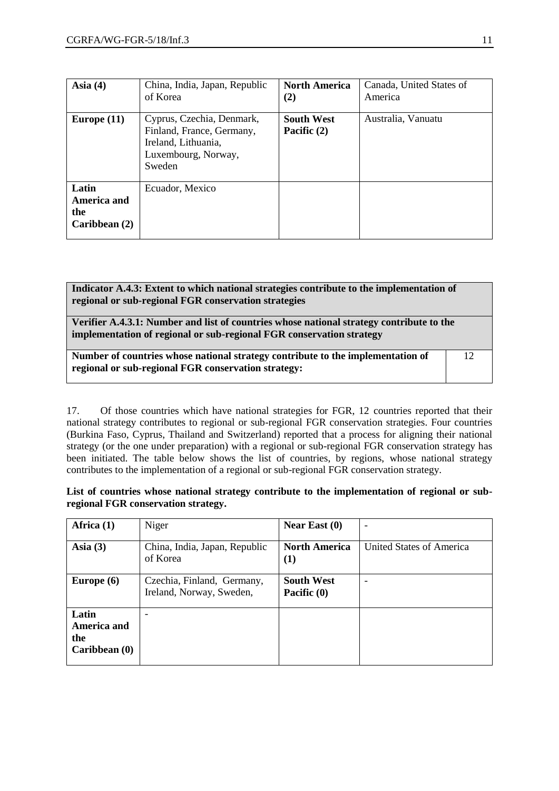| Asia $(4)$                                   | China, India, Japan, Republic<br>of Korea                                                                      | <b>North America</b><br>(2)        | Canada, United States of<br>America |
|----------------------------------------------|----------------------------------------------------------------------------------------------------------------|------------------------------------|-------------------------------------|
| Europe $(11)$                                | Cyprus, Czechia, Denmark,<br>Finland, France, Germany,<br>Ireland, Lithuania,<br>Luxembourg, Norway,<br>Sweden | <b>South West</b><br>Pacific $(2)$ | Australia, Vanuatu                  |
| Latin<br>America and<br>the<br>Caribbean (2) | Ecuador, Mexico                                                                                                |                                    |                                     |

**Indicator A.4.3: Extent to which national strategies contribute to the implementation of regional or sub-regional FGR conservation strategies**

**Verifier A.4.3.1: Number and list of countries whose national strategy contribute to the implementation of regional or sub-regional FGR conservation strategy**

| Number of countries whose national strategy contribute to the implementation of |  |
|---------------------------------------------------------------------------------|--|
| regional or sub-regional FGR conservation strategy:                             |  |

17. Of those countries which have national strategies for FGR, 12 countries reported that their national strategy contributes to regional or sub-regional FGR conservation strategies. Four countries (Burkina Faso, Cyprus, Thailand and Switzerland) reported that a process for aligning their national strategy (or the one under preparation) with a regional or sub-regional FGR conservation strategy has been initiated. The table below shows the list of countries, by regions, whose national strategy contributes to the implementation of a regional or sub-regional FGR conservation strategy.

**List of countries whose national strategy contribute to the implementation of regional or subregional FGR conservation strategy.**

| Africa (1)                                   | Niger                                                  | Near East $(0)$                  | $\overline{\phantom{a}}$ |
|----------------------------------------------|--------------------------------------------------------|----------------------------------|--------------------------|
| Asia $(3)$                                   | China, India, Japan, Republic<br>of Korea              | <b>North America</b><br>$\bf(1)$ | United States of America |
| Europe $(6)$                                 | Czechia, Finland, Germany,<br>Ireland, Norway, Sweden, | <b>South West</b><br>Pacific (0) | $\overline{\phantom{0}}$ |
| Latin<br>America and<br>the<br>Caribbean (0) |                                                        |                                  |                          |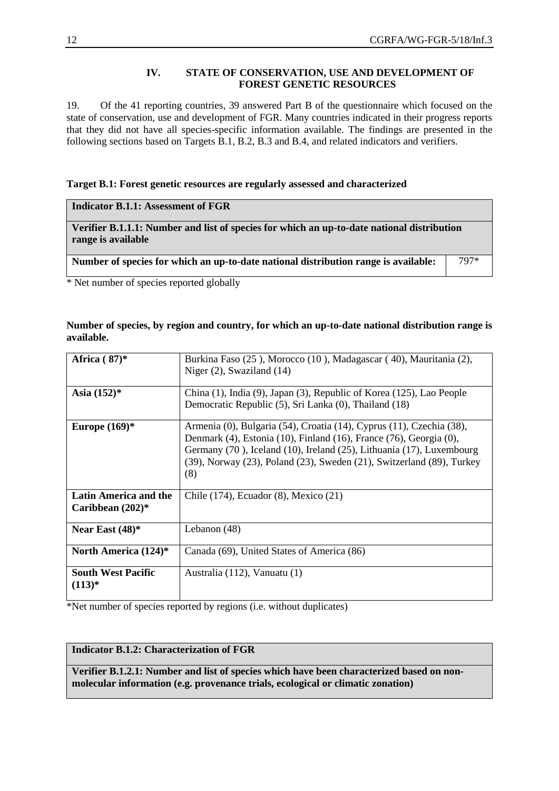#### **IV. STATE OF CONSERVATION, USE AND DEVELOPMENT OF FOREST GENETIC RESOURCES**

19. Of the 41 reporting countries, 39 answered Part B of the questionnaire which focused on the state of conservation, use and development of FGR. Many countries indicated in their progress reports that they did not have all species-specific information available. The findings are presented in the following sections based on Targets B.1, B.2, B.3 and B.4, and related indicators and verifiers.

#### **Target B.1: Forest genetic resources are regularly assessed and characterized**

|  | <b>Indicator B.1.1: Assessment of FGR</b> |  |
|--|-------------------------------------------|--|
|--|-------------------------------------------|--|

**Verifier B.1.1.1: Number and list of species for which an up-to-date national distribution range is available**

Number of species for which an up-to-date national distribution range is available:  $\begin{vmatrix} 797^* & 780 \\ 360 & 797 \end{vmatrix}$ 

\* Net number of species reported globally

#### **Number of species, by region and country, for which an up-to-date national distribution range is available.**

| Africa $(87)^*$                             | Burkina Faso (25), Morocco (10), Madagascar (40), Mauritania (2),<br>Niger $(2)$ , Swaziland $(14)$                                                                                                                                                                                                |
|---------------------------------------------|----------------------------------------------------------------------------------------------------------------------------------------------------------------------------------------------------------------------------------------------------------------------------------------------------|
| Asia $(152)^*$                              | China (1), India (9), Japan (3), Republic of Korea (125), Lao People<br>Democratic Republic (5), Sri Lanka (0), Thailand (18)                                                                                                                                                                      |
| Europe $(169)^*$                            | Armenia (0), Bulgaria (54), Croatia (14), Cyprus (11), Czechia (38),<br>Denmark (4), Estonia (10), Finland (16), France (76), Georgia (0),<br>Germany (70), Iceland (10), Ireland (25), Lithuania (17), Luxembourg<br>(39), Norway (23), Poland (23), Sweden (21), Switzerland (89), Turkey<br>(8) |
| Latin America and the<br>Caribbean $(202)*$ | Chile (174), Ecuador (8), Mexico (21)                                                                                                                                                                                                                                                              |
| Near East $(48)$ *                          | Lebanon (48)                                                                                                                                                                                                                                                                                       |
| North America $(124)$ <sup>*</sup>          | Canada (69), United States of America (86)                                                                                                                                                                                                                                                         |
| <b>South West Pacific</b><br>$(113)*$       | Australia (112), Vanuatu (1)                                                                                                                                                                                                                                                                       |

\*Net number of species reported by regions (i.e. without duplicates)

#### **Indicator B.1.2: Characterization of FGR**

**Verifier B.1.2.1: Number and list of species which have been characterized based on nonmolecular information (e.g. provenance trials, ecological or climatic zonation)**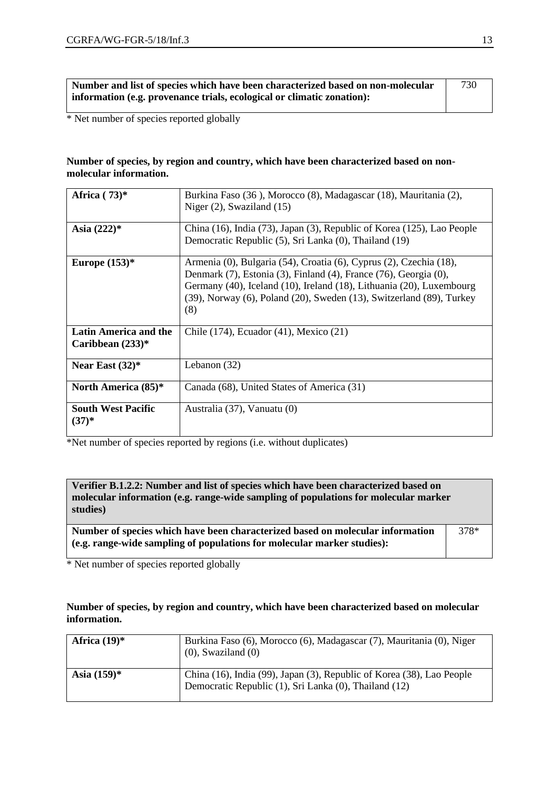| Number and list of species which have been characterized based on non-molecular | 730 |
|---------------------------------------------------------------------------------|-----|
| information (e.g. provenance trials, ecological or climatic zonation):          |     |

\* Net number of species reported globally

#### **Number of species, by region and country, which have been characterized based on nonmolecular information.**

| Africa $(73)$ *                             | Burkina Faso (36), Morocco (8), Madagascar (18), Mauritania (2),                                                                                                                                                                                                                                             |
|---------------------------------------------|--------------------------------------------------------------------------------------------------------------------------------------------------------------------------------------------------------------------------------------------------------------------------------------------------------------|
|                                             | Niger $(2)$ , Swaziland $(15)$                                                                                                                                                                                                                                                                               |
| Asia $(222)*$                               | China (16), India (73), Japan (3), Republic of Korea (125), Lao People                                                                                                                                                                                                                                       |
|                                             | Democratic Republic (5), Sri Lanka (0), Thailand (19)                                                                                                                                                                                                                                                        |
| Europe $(153)^*$                            | Armenia (0), Bulgaria (54), Croatia (6), Cyprus (2), Czechia (18),<br>Denmark (7), Estonia (3), Finland (4), France (76), Georgia (0),<br>Germany (40), Iceland (10), Ireland (18), Lithuania (20), Luxembourg<br>$(39)$ , Norway $(6)$ , Poland $(20)$ , Sweden $(13)$ , Switzerland $(89)$ , Turkey<br>(8) |
| Latin America and the<br>Caribbean $(233)*$ | Chile (174), Ecuador (41), Mexico (21)                                                                                                                                                                                                                                                                       |
| Near East $(32)^*$                          | Lebanon $(32)$                                                                                                                                                                                                                                                                                               |
| North America (85)*                         | Canada (68), United States of America (31)                                                                                                                                                                                                                                                                   |
| <b>South West Pacific</b><br>$(37)^{*}$     | Australia (37), Vanuatu (0)                                                                                                                                                                                                                                                                                  |

\*Net number of species reported by regions (i.e. without duplicates)

**Verifier B.1.2.2: Number and list of species which have been characterized based on molecular information (e.g. range-wide sampling of populations for molecular marker studies)**

**Number of species which have been characterized based on molecular information (e.g. range-wide sampling of populations for molecular marker studies):** 378\*

\* Net number of species reported globally

#### **Number of species, by region and country, which have been characterized based on molecular information.**

| Africa $(19)^*$ | Burkina Faso (6), Morocco (6), Madagascar (7), Mauritania (0), Niger<br>$(0)$ , Swaziland $(0)$                                |
|-----------------|--------------------------------------------------------------------------------------------------------------------------------|
| Asia $(159)^*$  | China (16), India (99), Japan (3), Republic of Korea (38), Lao People<br>Democratic Republic (1), Sri Lanka (0), Thailand (12) |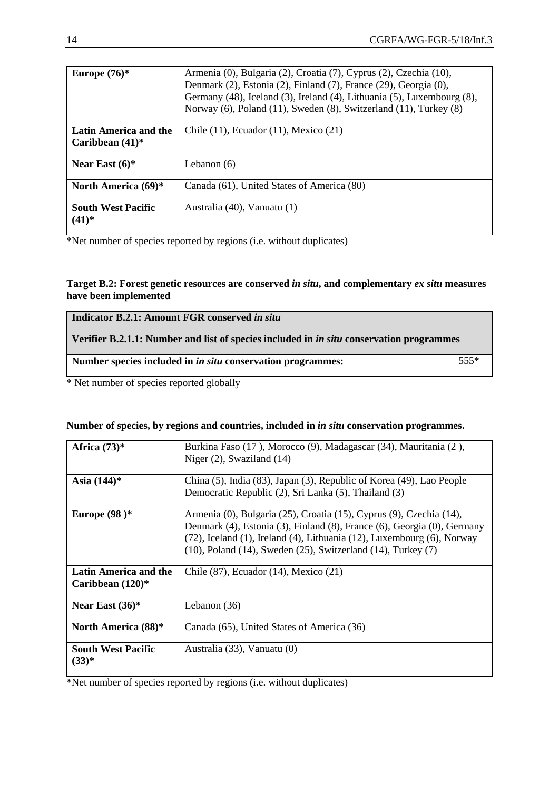| Europe $(76)$ *                                    | Armenia (0), Bulgaria (2), Croatia (7), Cyprus (2), Czechia (10),<br>Denmark (2), Estonia (2), Finland (7), France (29), Georgia (0),<br>Germany (48), Iceland (3), Ireland (4), Lithuania (5), Luxembourg (8),<br>Norway (6), Poland (11), Sweden (8), Switzerland (11), Turkey (8) |
|----------------------------------------------------|--------------------------------------------------------------------------------------------------------------------------------------------------------------------------------------------------------------------------------------------------------------------------------------|
| <b>Latin America and the</b><br>Caribbean $(41)$ * | Chile $(11)$ , Ecuador $(11)$ , Mexico $(21)$                                                                                                                                                                                                                                        |
| Near East $(6)$ *                                  | Lebanon $(6)$                                                                                                                                                                                                                                                                        |
| North America (69)*                                | Canada (61), United States of America (80)                                                                                                                                                                                                                                           |
| <b>South West Pacific</b><br>$(41)^*$              | Australia (40), Vanuatu (1)                                                                                                                                                                                                                                                          |

\*Net number of species reported by regions (i.e. without duplicates)

### **Target B.2: Forest genetic resources are conserved** *in situ***, and complementary** *ex situ* **measures have been implemented**

| Indicator B.2.1: Amount FGR conserved in situ                                                   |  |  |
|-------------------------------------------------------------------------------------------------|--|--|
| Verifier B.2.1.1: Number and list of species included in <i>in situ</i> conservation programmes |  |  |
| Number species included in <i>in situ</i> conservation programmes:                              |  |  |

\* Net number of species reported globally

|  |  |  | Number of species, by regions and countries, included in <i>in situ</i> conservation programmes. |
|--|--|--|--------------------------------------------------------------------------------------------------|
|  |  |  |                                                                                                  |

| Africa $(73)$ *                             | Burkina Faso (17), Morocco (9), Madagascar (34), Mauritania (2),<br>Niger $(2)$ , Swaziland $(14)$                                                                                                                                                                                                     |
|---------------------------------------------|--------------------------------------------------------------------------------------------------------------------------------------------------------------------------------------------------------------------------------------------------------------------------------------------------------|
| Asia $(144)^*$                              | China (5), India (83), Japan (3), Republic of Korea (49), Lao People<br>Democratic Republic (2), Sri Lanka (5), Thailand (3)                                                                                                                                                                           |
| Europe $(98)*$                              | Armenia (0), Bulgaria (25), Croatia (15), Cyprus (9), Czechia (14),<br>Denmark (4), Estonia (3), Finland (8), France (6), Georgia (0), Germany<br>(72), Iceland (1), Ireland (4), Lithuania (12), Luxembourg (6), Norway<br>$(10)$ , Poland $(14)$ , Sweden $(25)$ , Switzerland $(14)$ , Turkey $(7)$ |
| Latin America and the<br>Caribbean $(120)*$ | Chile (87), Ecuador (14), Mexico (21)                                                                                                                                                                                                                                                                  |
| Near East $(36)^*$                          | Lebanon $(36)$                                                                                                                                                                                                                                                                                         |
| <b>North America</b> (88)*                  | Canada (65), United States of America (36)                                                                                                                                                                                                                                                             |
| <b>South West Pacific</b><br>$(33)*$        | Australia (33), Vanuatu (0)                                                                                                                                                                                                                                                                            |

\*Net number of species reported by regions (i.e. without duplicates)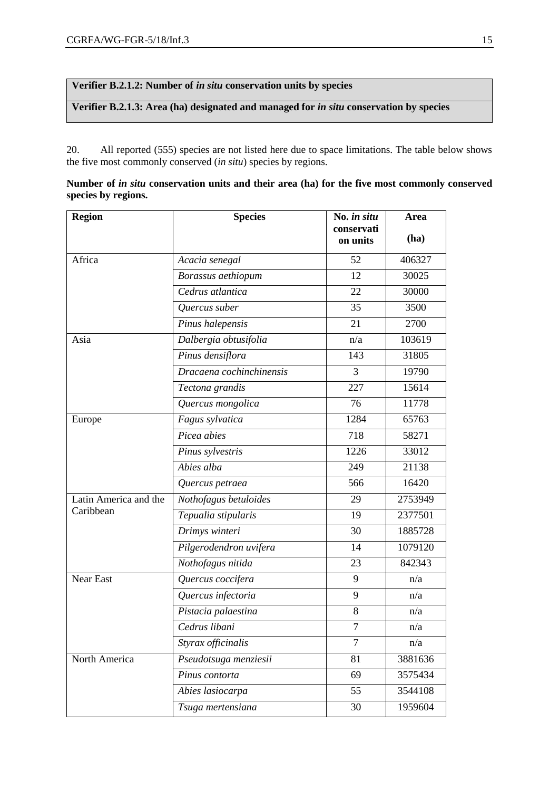**Verifier B.2.1.2: Number of** *in situ* **conservation units by species**

**Verifier B.2.1.3: Area (ha) designated and managed for** *in situ* **conservation by species**

20. All reported (555) species are not listed here due to space limitations. The table below shows the five most commonly conserved (*in situ*) species by regions.

| Number of in situ conservation units and their area (ha) for the five most commonly conserved |  |  |  |  |  |
|-----------------------------------------------------------------------------------------------|--|--|--|--|--|
| species by regions.                                                                           |  |  |  |  |  |

| <b>Region</b>         | <b>Species</b>           | No. in situ<br>conservati<br>on units | Area<br>(ha) |
|-----------------------|--------------------------|---------------------------------------|--------------|
| Africa                | Acacia senegal           | 52                                    | 406327       |
|                       | Borassus aethiopum       | 12                                    | 30025        |
|                       | Cedrus atlantica         | 22                                    | 30000        |
|                       | Quercus suber            | 35                                    | 3500         |
|                       | Pinus halepensis         | 21                                    | 2700         |
| Asia                  | Dalbergia obtusifolia    | n/a                                   | 103619       |
|                       | Pinus densiflora         | 143                                   | 31805        |
|                       | Dracaena cochinchinensis | 3                                     | 19790        |
|                       | Tectona grandis          | 227                                   | 15614        |
|                       | Quercus mongolica        | 76                                    | 11778        |
| Europe                | Fagus sylvatica          | 1284                                  | 65763        |
|                       | Picea abies              | 718                                   | 58271        |
|                       | Pinus sylvestris         | 1226                                  | 33012        |
|                       | Abies alba               | 249                                   | 21138        |
|                       | Quercus petraea          | 566                                   | 16420        |
| Latin America and the | Nothofagus betuloides    | 29                                    | 2753949      |
| Caribbean             | Tepualia stipularis      | 19                                    | 2377501      |
|                       | Drimys winteri           | 30                                    | 1885728      |
|                       | Pilgerodendron uvifera   | 14                                    | 1079120      |
|                       | Nothofagus nitida        | 23                                    | 842343       |
| Near East             | Quercus coccifera        | 9                                     | n/a          |
|                       | Quercus infectoria       | 9                                     | n/a          |
|                       | Pistacia palaestina      | $8\,$                                 | n/a          |
|                       | Cedrus libani            | $\tau$                                | n/a          |
|                       | Styrax officinalis       | $\overline{7}$                        | n/a          |
| North America         | Pseudotsuga menziesii    | 81                                    | 3881636      |
|                       | Pinus contorta           | 69                                    | 3575434      |
|                       | Abies lasiocarpa         | 55                                    | 3544108      |
|                       | Tsuga mertensiana        | 30                                    | 1959604      |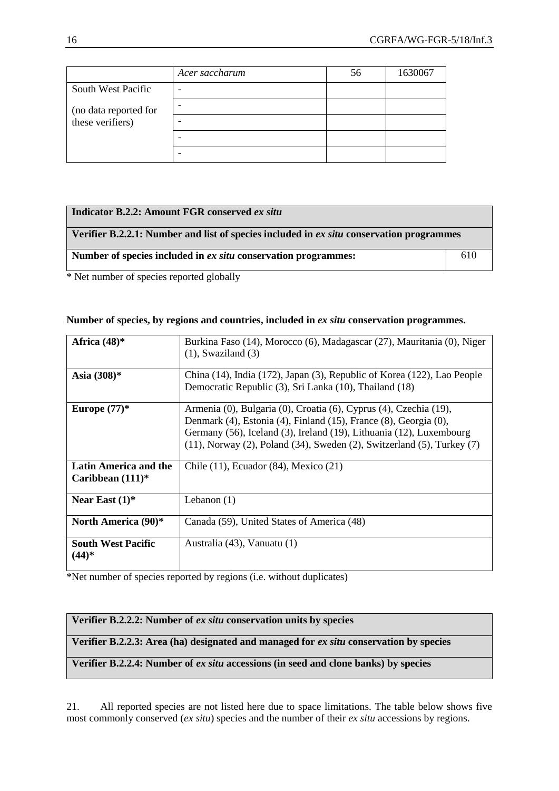|                       | Acer saccharum | 56 | 1630067 |
|-----------------------|----------------|----|---------|
| South West Pacific    |                |    |         |
| (no data reported for |                |    |         |
| these verifiers)      |                |    |         |
|                       |                |    |         |
|                       |                |    |         |

| Indicator B.2.2: Amount FGR conserved ex situ                                            |     |
|------------------------------------------------------------------------------------------|-----|
| Verifier B.2.2.1: Number and list of species included in ex situ conservation programmes |     |
| Number of species included in ex situ conservation programmes:                           | 610 |

\* Net number of species reported globally

#### **Number of species, by regions and countries, included in** *ex situ* **conservation programmes.**

| Africa $(48)$ *                              | Burkina Faso (14), Morocco (6), Madagascar (27), Mauritania (0), Niger<br>$(1)$ , Swaziland $(3)$                                                                                                                                                                                                       |
|----------------------------------------------|---------------------------------------------------------------------------------------------------------------------------------------------------------------------------------------------------------------------------------------------------------------------------------------------------------|
| Asia $(308)*$                                | China (14), India (172), Japan (3), Republic of Korea (122), Lao People<br>Democratic Republic (3), Sri Lanka (10), Thailand (18)                                                                                                                                                                       |
| Europe $(77)*$                               | Armenia (0), Bulgaria (0), Croatia (6), Cyprus (4), Czechia (19),<br>Denmark (4), Estonia (4), Finland (15), France (8), Georgia (0),<br>Germany (56), Iceland (3), Ireland (19), Lithuania (12), Luxembourg<br>$(11)$ , Norway $(2)$ , Poland $(34)$ , Sweden $(2)$ , Switzerland $(5)$ , Turkey $(7)$ |
| Latin America and the<br>Caribbean $(111)^*$ | Chile (11), Ecuador (84), Mexico (21)                                                                                                                                                                                                                                                                   |
| Near East $(1)^*$                            | Lebanon $(1)$                                                                                                                                                                                                                                                                                           |
| North America (90)*                          | Canada (59), United States of America (48)                                                                                                                                                                                                                                                              |
| <b>South West Pacific</b><br>$(44)*$         | Australia (43), Vanuatu (1)                                                                                                                                                                                                                                                                             |

\*Net number of species reported by regions (i.e. without duplicates)

#### **Verifier B.2.2.2: Number of** *ex situ* **conservation units by species**

**Verifier B.2.2.3: Area (ha) designated and managed for** *ex situ* **conservation by species**

### **Verifier B.2.2.4: Number of** *ex situ* **accessions (in seed and clone banks) by species**

21. All reported species are not listed here due to space limitations. The table below shows five most commonly conserved (*ex situ*) species and the number of their *ex situ* accessions by regions.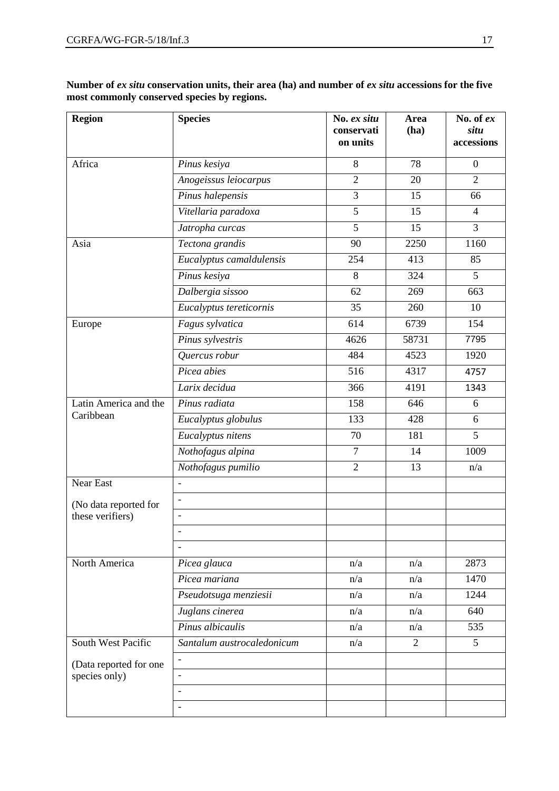**Number of** *ex situ* **conservation units, their area (ha) and number of** *ex situ* **accessions for the five most commonly conserved species by regions.** 

| <b>Region</b>          | <b>Species</b>             | No. ex situ<br>conservati<br>on units | Area<br>(ha)   | No. of $ex$<br>situ<br>accessions |
|------------------------|----------------------------|---------------------------------------|----------------|-----------------------------------|
| Africa                 | Pinus kesiya               | 8                                     | 78             | $\boldsymbol{0}$                  |
|                        | Anogeissus leiocarpus      | $\overline{2}$                        | 20             | $\overline{2}$                    |
|                        | Pinus halepensis           | 3                                     | 15             | 66                                |
|                        | Vitellaria paradoxa        | $\overline{5}$                        | 15             | $\overline{4}$                    |
|                        | Jatropha curcas            | $\overline{5}$                        | 15             | $\overline{3}$                    |
| Asia                   | Tectona grandis            | 90                                    | 2250           | 1160                              |
|                        | Eucalyptus camaldulensis   | 254                                   | 413            | 85                                |
|                        | Pinus kesiya               | 8                                     | 324            | 5                                 |
|                        | Dalbergia sissoo           | 62                                    | 269            | 663                               |
|                        | Eucalyptus tereticornis    | 35                                    | 260            | 10                                |
| Europe                 | Fagus sylvatica            | 614                                   | 6739           | 154                               |
|                        | Pinus sylvestris           | 4626                                  | 58731          | 7795                              |
|                        | Quercus robur              | 484                                   | 4523           | 1920                              |
|                        | Picea abies                | 516                                   | 4317           | 4757                              |
|                        | Larix decidua              | 366                                   | 4191           | 1343                              |
| Latin America and the  | Pinus radiata              | 158                                   | 646            | 6                                 |
| Caribbean              | Eucalyptus globulus        | 133                                   | 428            | 6                                 |
|                        | Eucalyptus nitens          | 70                                    | 181            | 5                                 |
|                        | Nothofagus alpina          | $\tau$                                | 14             | 1009                              |
|                        | Nothofagus pumilio         | $\overline{2}$                        | 13             | n/a                               |
| Near East              | $\blacksquare$             |                                       |                |                                   |
| (No data reported for  | $\overline{\phantom{a}}$   |                                       |                |                                   |
| these verifiers)       |                            |                                       |                |                                   |
|                        |                            |                                       |                |                                   |
|                        | $\overline{\phantom{a}}$   |                                       |                |                                   |
| North America          | Picea glauca               | n/a                                   | n/a            | 2873                              |
|                        | Picea mariana              | n/a                                   | n/a            | 1470                              |
|                        | Pseudotsuga menziesii      | n/a                                   | n/a            | 1244                              |
|                        | Juglans cinerea            | n/a                                   | n/a            | 640                               |
|                        | Pinus albicaulis           | n/a                                   | n/a            | 535                               |
| South West Pacific     | Santalum austrocaledonicum | n/a                                   | $\overline{2}$ | 5                                 |
| (Data reported for one | $\overline{\phantom{a}}$   |                                       |                |                                   |
| species only)          |                            |                                       |                |                                   |
|                        |                            |                                       |                |                                   |
|                        |                            |                                       |                |                                   |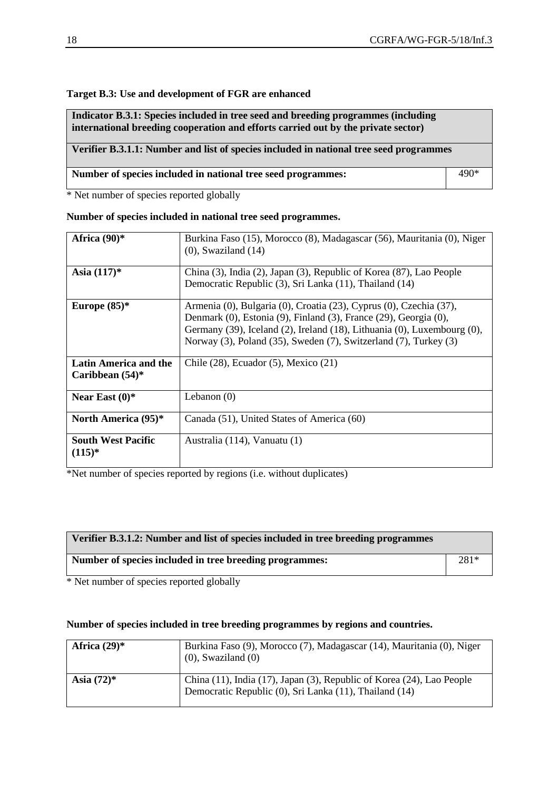#### **Target B.3: Use and development of FGR are enhanced**

**Indicator B.3.1: Species included in tree seed and breeding programmes (including international breeding cooperation and efforts carried out by the private sector)**

# **Verifier B.3.1.1: Number and list of species included in national tree seed programmes**

| Number of species included in national tree seed programmes: | 490* |
|--------------------------------------------------------------|------|
|--------------------------------------------------------------|------|

\* Net number of species reported globally

#### **Number of species included in national tree seed programmes.**

| Africa $(90)$ *                             | Burkina Faso (15), Morocco (8), Madagascar (56), Mauritania (0), Niger<br>$(0)$ , Swaziland $(14)$                                                                                                                                                                                    |
|---------------------------------------------|---------------------------------------------------------------------------------------------------------------------------------------------------------------------------------------------------------------------------------------------------------------------------------------|
| Asia $(117)^*$                              | China (3), India (2), Japan (3), Republic of Korea (87), Lao People<br>Democratic Republic (3), Sri Lanka (11), Thailand (14)                                                                                                                                                         |
| Europe $(85)*$                              | Armenia (0), Bulgaria (0), Croatia (23), Cyprus (0), Czechia (37),<br>Denmark (0), Estonia (9), Finland (3), France (29), Georgia (0),<br>Germany (39), Iceland (2), Ireland (18), Lithuania (0), Luxembourg (0),<br>Norway (3), Poland (35), Sweden (7), Switzerland (7), Turkey (3) |
| Latin America and the<br>Caribbean $(54)$ * | Chile $(28)$ , Ecuador $(5)$ , Mexico $(21)$                                                                                                                                                                                                                                          |
| Near East $(0)$ *                           | Lebanon $(0)$                                                                                                                                                                                                                                                                         |
| <b>North America (95)*</b>                  | Canada (51), United States of America (60)                                                                                                                                                                                                                                            |
| <b>South West Pacific</b><br>$(115)^*$      | Australia (114), Vanuatu (1)                                                                                                                                                                                                                                                          |

\*Net number of species reported by regions (i.e. without duplicates)

| Verifier B.3.1.2: Number and list of species included in tree breeding programmes |      |
|-----------------------------------------------------------------------------------|------|
| Number of species included in tree breeding programmes:                           | 281* |

\* Net number of species reported globally

#### **Number of species included in tree breeding programmes by regions and countries.**

| Africa $(29)^*$ | Burkina Faso (9), Morocco (7), Madagascar (14), Mauritania (0), Niger<br>$(0)$ , Swaziland $(0)$                                |
|-----------------|---------------------------------------------------------------------------------------------------------------------------------|
| Asia $(72)^*$   | China (11), India (17), Japan (3), Republic of Korea (24), Lao People<br>Democratic Republic (0), Sri Lanka (11), Thailand (14) |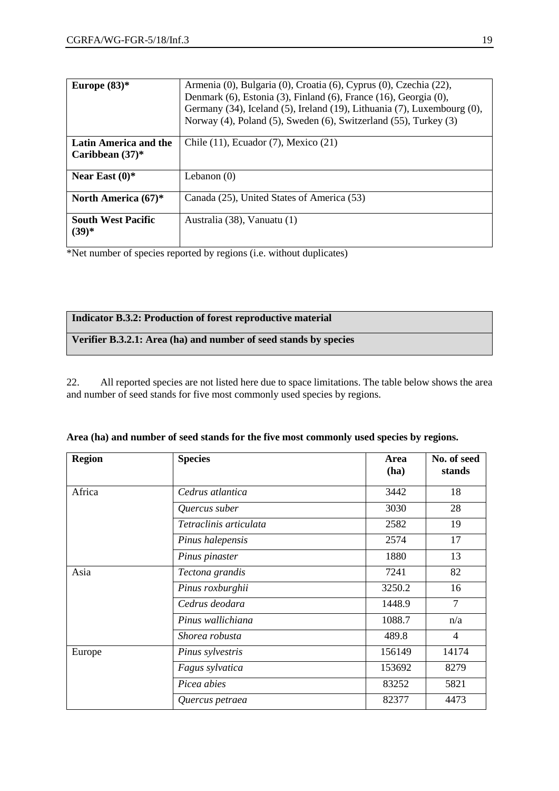| Europe $(83)*$                              | Armenia (0), Bulgaria (0), Croatia (6), Cyprus (0), Czechia (22),<br>Denmark (6), Estonia (3), Finland (6), France (16), Georgia (0),<br>Germany (34), Iceland (5), Ireland (19), Lithuania (7), Luxembourg (0),<br>Norway (4), Poland (5), Sweden (6), Switzerland (55), Turkey (3) |
|---------------------------------------------|--------------------------------------------------------------------------------------------------------------------------------------------------------------------------------------------------------------------------------------------------------------------------------------|
| Latin America and the<br>Caribbean $(37)^*$ | Chile $(11)$ , Ecuador $(7)$ , Mexico $(21)$                                                                                                                                                                                                                                         |
| Near East $(0)$ *                           | Lebanon $(0)$                                                                                                                                                                                                                                                                        |
| North America $(67)^*$                      | Canada (25), United States of America (53)                                                                                                                                                                                                                                           |
| <b>South West Pacific</b><br>$(39)*$        | Australia (38), Vanuatu (1)                                                                                                                                                                                                                                                          |

\*Net number of species reported by regions (i.e. without duplicates)

| <b>Indicator B.3.2: Production of forest reproductive material</b> |  |
|--------------------------------------------------------------------|--|
|--------------------------------------------------------------------|--|

# **Verifier B.3.2.1: Area (ha) and number of seed stands by species**

22. All reported species are not listed here due to space limitations. The table below shows the area and number of seed stands for five most commonly used species by regions.

| Region | <b>Species</b>         | Area<br>(ha) | No. of seed<br>stands |
|--------|------------------------|--------------|-----------------------|
| Africa | Cedrus atlantica       | 3442         | 18                    |
|        | Quercus suber          | 3030         | 28                    |
|        | Tetraclinis articulata | 2582         | 19                    |
|        | Pinus halepensis       | 2574         | 17                    |
|        | Pinus pinaster         | 1880         | 13                    |
| Asia   | Tectona grandis        | 7241         | 82                    |
|        | Pinus roxburghii       | 3250.2       | 16                    |
|        | Cedrus deodara         | 1448.9       | $\overline{7}$        |
|        | Pinus wallichiana      | 1088.7       | n/a                   |
|        | Shorea robusta         | 489.8        | 4                     |
| Europe | Pinus sylvestris       | 156149       | 14174                 |
|        | Fagus sylvatica        | 153692       | 8279                  |
|        | Picea abies            | 83252        | 5821                  |
|        | Quercus petraea        | 82377        | 4473                  |

|  |  |  |  | Area (ha) and number of seed stands for the five most commonly used species by regions. |  |  |
|--|--|--|--|-----------------------------------------------------------------------------------------|--|--|
|  |  |  |  |                                                                                         |  |  |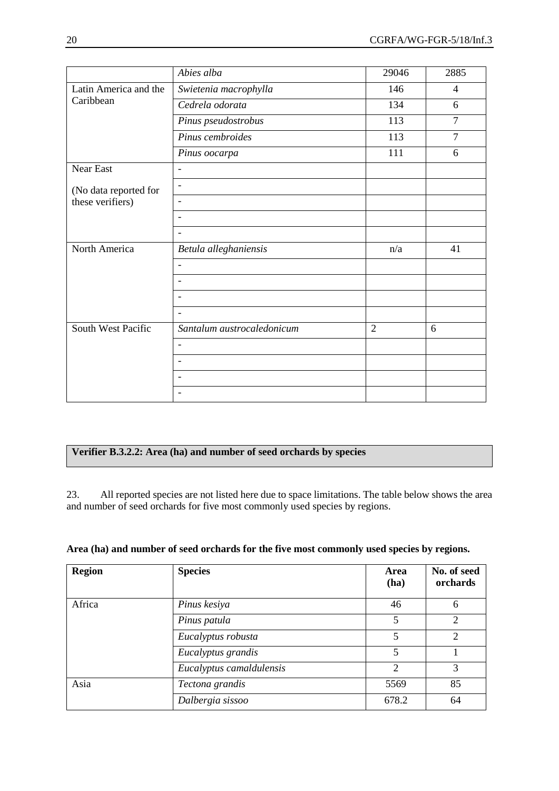|                       | Abies alba                 | 29046          | 2885           |
|-----------------------|----------------------------|----------------|----------------|
| Latin America and the | Swietenia macrophylla      | 146            | 4              |
| Caribbean             | Cedrela odorata            | 134            | 6              |
|                       | Pinus pseudostrobus        | 113            | $\overline{7}$ |
|                       | Pinus cembroides           | 113            | $\overline{7}$ |
|                       | Pinus oocarpa              | 111            | 6              |
| <b>Near East</b>      | $\blacksquare$             |                |                |
| (No data reported for | $\overline{\phantom{a}}$   |                |                |
| these verifiers)      | $\overline{\phantom{a}}$   |                |                |
|                       | $\overline{\phantom{a}}$   |                |                |
|                       | $\overline{\phantom{a}}$   |                |                |
| North America         | Betula alleghaniensis      | n/a            | 41             |
|                       | $\overline{\phantom{a}}$   |                |                |
|                       |                            |                |                |
|                       |                            |                |                |
|                       |                            |                |                |
| South West Pacific    | Santalum austrocaledonicum | $\overline{2}$ | 6              |
|                       | $\overline{\phantom{0}}$   |                |                |
|                       | $\overline{\phantom{a}}$   |                |                |
|                       |                            |                |                |
|                       | $\blacksquare$             |                |                |

#### **Verifier B.3.2.2: Area (ha) and number of seed orchards by species**

23. All reported species are not listed here due to space limitations. The table below shows the area and number of seed orchards for five most commonly used species by regions.

|  |  |  | Area (ha) and number of seed orchards for the five most commonly used species by regions. |  |  |
|--|--|--|-------------------------------------------------------------------------------------------|--|--|
|  |  |  |                                                                                           |  |  |

| <b>Region</b> | <b>Species</b>           | Area<br>(ha)   | No. of seed<br>orchards |
|---------------|--------------------------|----------------|-------------------------|
| Africa        | Pinus kesiya             | 46             | 6                       |
|               | Pinus patula             | 5              | $\mathcal{D}$           |
|               | Eucalyptus robusta       | 5              | $\mathfrak{D}$          |
|               | Eucalyptus grandis       | 5              |                         |
|               | Eucalyptus camaldulensis | $\overline{2}$ | 3                       |
| Asia          | Tectona grandis          | 5569           | 85                      |
|               | Dalbergia sissoo         | 678.2          | 64                      |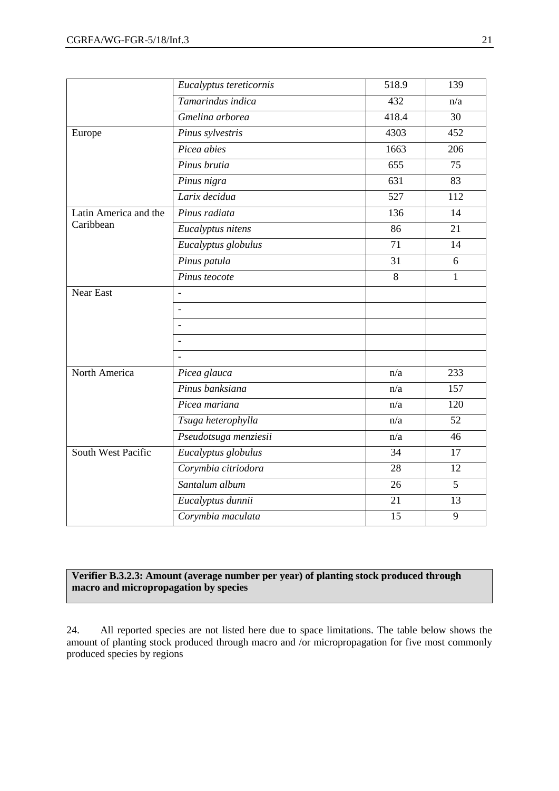|                       | Eucalyptus tereticornis  | 518.9 | 139            |
|-----------------------|--------------------------|-------|----------------|
|                       | Tamarindus indica        | 432   | n/a            |
|                       | Gmelina arborea          | 418.4 | 30             |
| Europe                | Pinus sylvestris         | 4303  | 452            |
|                       | Picea abies              | 1663  | 206            |
|                       | Pinus brutia             | 655   | 75             |
|                       | Pinus nigra              | 631   | 83             |
|                       | Larix decidua            | 527   | 112            |
| Latin America and the | Pinus radiata            | 136   | 14             |
| Caribbean             | Eucalyptus nitens        | 86    | 21             |
|                       | Eucalyptus globulus      | 71    | 14             |
|                       | Pinus patula             | 31    | 6              |
|                       | Pinus teocote            | 8     | $\mathbf{1}$   |
| <b>Near East</b>      |                          |       |                |
|                       | $\overline{a}$           |       |                |
|                       | $\blacksquare$           |       |                |
|                       | $\overline{\phantom{a}}$ |       |                |
|                       | $\overline{a}$           |       |                |
| North America         | Picea glauca             | n/a   | 233            |
|                       | Pinus banksiana          | n/a   | 157            |
|                       | Picea mariana            | n/a   | 120            |
|                       | Tsuga heterophylla       | n/a   | 52             |
|                       | Pseudotsuga menziesii    | n/a   | 46             |
| South West Pacific    | Eucalyptus globulus      | 34    | 17             |
|                       | Corymbia citriodora      | 28    | 12             |
|                       | Santalum album           | 26    | $\overline{5}$ |
|                       | Eucalyptus dunnii        | 21    | 13             |
|                       | Corymbia maculata        | 15    | 9              |

#### **Verifier B.3.2.3: Amount (average number per year) of planting stock produced through macro and micropropagation by species**

24. All reported species are not listed here due to space limitations. The table below shows the amount of planting stock produced through macro and /or micropropagation for five most commonly produced species by regions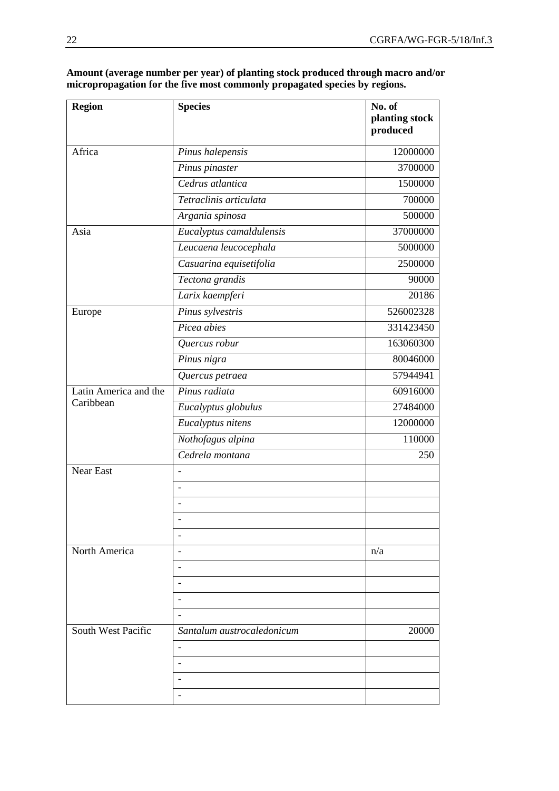| <b>Region</b>                      | <b>Species</b>             | No. of<br>planting stock<br>produced |
|------------------------------------|----------------------------|--------------------------------------|
| Africa                             | Pinus halepensis           | 12000000                             |
|                                    | Pinus pinaster             | 3700000                              |
|                                    | Cedrus atlantica           | 1500000                              |
|                                    | Tetraclinis articulata     | 700000                               |
|                                    | Argania spinosa            | 500000                               |
| Asia                               | Eucalyptus camaldulensis   | 37000000                             |
|                                    | Leucaena leucocephala      | 5000000                              |
|                                    | Casuarina equisetifolia    | 2500000                              |
|                                    | Tectona grandis            | 90000                                |
|                                    | Larix kaempferi            | 20186                                |
| Europe                             | Pinus sylvestris           | 526002328                            |
|                                    | Picea abies                | 331423450                            |
|                                    | Quercus robur              | 163060300                            |
|                                    | Pinus nigra                | 80046000                             |
|                                    | Quercus petraea            | 57944941                             |
| Latin America and the<br>Caribbean | Pinus radiata              | 60916000                             |
|                                    | Eucalyptus globulus        | 27484000                             |
|                                    | Eucalyptus nitens          | 12000000                             |
|                                    | Nothofagus alpina          | 110000                               |
|                                    | Cedrela montana            | 250                                  |
| <b>Near East</b>                   |                            |                                      |
|                                    |                            |                                      |
|                                    |                            |                                      |
|                                    |                            |                                      |
|                                    | $\overline{\phantom{a}}$   |                                      |
| North America                      |                            | n/a                                  |
|                                    |                            |                                      |
|                                    |                            |                                      |
|                                    |                            |                                      |
|                                    |                            |                                      |
| South West Pacific                 | Santalum austrocaledonicum | 20000                                |
|                                    |                            |                                      |
|                                    |                            |                                      |
|                                    |                            |                                      |
|                                    |                            |                                      |

**Amount (average number per year) of planting stock produced through macro and/or micropropagation for the five most commonly propagated species by regions.**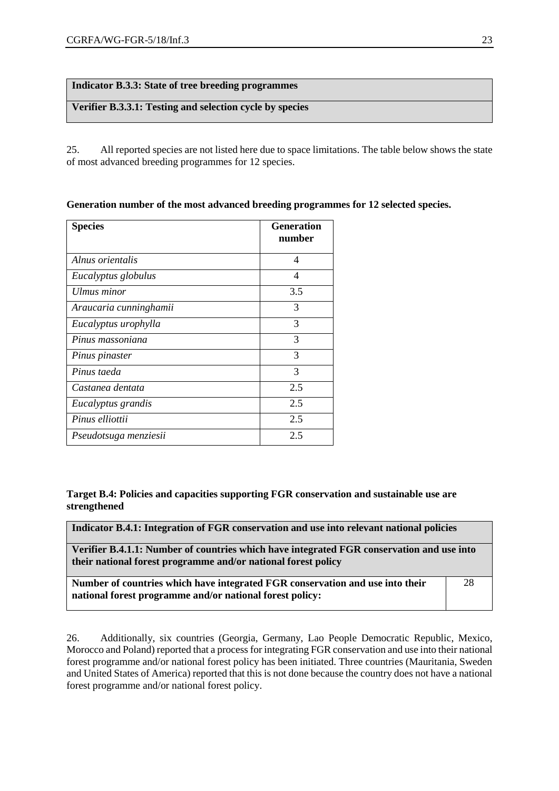#### **Indicator B.3.3: State of tree breeding programmes**

#### **Verifier B.3.3.1: Testing and selection cycle by species**

25. All reported species are not listed here due to space limitations. The table below shows the state of most advanced breeding programmes for 12 species.

|  |  | Generation number of the most advanced breeding programmes for 12 selected species. |  |  |
|--|--|-------------------------------------------------------------------------------------|--|--|
|  |  |                                                                                     |  |  |

| <b>Species</b>         | <b>Generation</b><br>number |
|------------------------|-----------------------------|
| Alnus orientalis       | 4                           |
| Eucalyptus globulus    | 4                           |
| Ulmus minor            | 3.5                         |
| Araucaria cunninghamii | 3                           |
| Eucalyptus urophylla   | 3                           |
| Pinus massoniana       | 3                           |
| Pinus pinaster         | 3                           |
| Pinus taeda            | 3                           |
| Castanea dentata       | 2.5                         |
| Eucalyptus grandis     | 2.5                         |
| Pinus elliottii        | 2.5                         |
| Pseudotsuga menziesii  | 2.5                         |

**Target B.4: Policies and capacities supporting FGR conservation and sustainable use are strengthened**

| Indicator B.4.1: Integration of FGR conservation and use into relevant national policies                                                                   |    |  |  |  |
|------------------------------------------------------------------------------------------------------------------------------------------------------------|----|--|--|--|
| Verifier B.4.1.1: Number of countries which have integrated FGR conservation and use into<br>their national forest programme and/or national forest policy |    |  |  |  |
| Number of countries which have integrated FGR conservation and use into their<br>national forest programme and/or national forest policy:                  | 28 |  |  |  |

26. Additionally, six countries (Georgia, Germany, Lao People Democratic Republic, Mexico, Morocco and Poland) reported that a process for integrating FGR conservation and use into their national forest programme and/or national forest policy has been initiated. Three countries (Mauritania, Sweden and United States of America) reported that this is not done because the country does not have a national forest programme and/or national forest policy.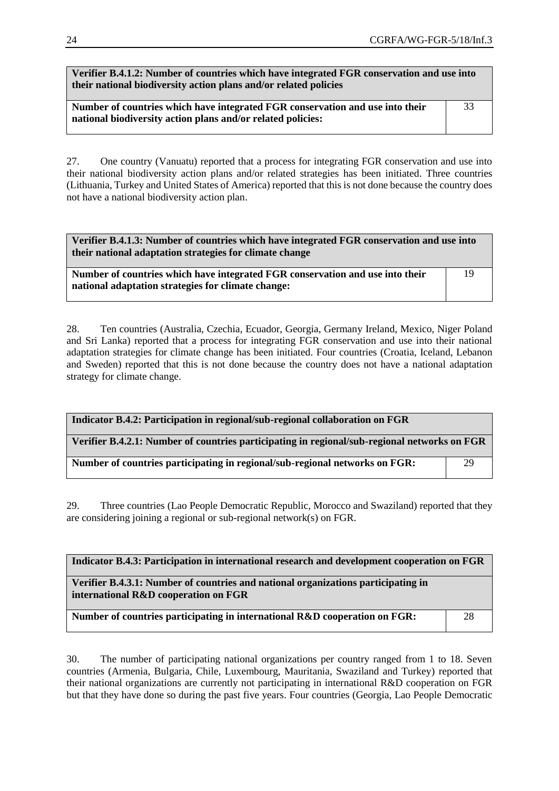**Verifier B.4.1.2: Number of countries which have integrated FGR conservation and use into their national biodiversity action plans and/or related policies**

**Number of countries which have integrated FGR conservation and use into their national biodiversity action plans and/or related policies:** 33

27. One country (Vanuatu) reported that a process for integrating FGR conservation and use into their national biodiversity action plans and/or related strategies has been initiated. Three countries (Lithuania, Turkey and United States of America) reported that this is not done because the country does not have a national biodiversity action plan.

**Verifier B.4.1.3: Number of countries which have integrated FGR conservation and use into their national adaptation strategies for climate change**

**Number of countries which have integrated FGR conservation and use into their national adaptation strategies for climate change:** 19

28. Ten countries (Australia, Czechia, Ecuador, Georgia, Germany Ireland, Mexico, Niger Poland and Sri Lanka) reported that a process for integrating FGR conservation and use into their national adaptation strategies for climate change has been initiated. Four countries (Croatia, Iceland, Lebanon and Sweden) reported that this is not done because the country does not have a national adaptation strategy for climate change.

| Indicator B.4.2: Participation in regional/sub-regional collaboration on FGR                 |    |  |  |  |  |
|----------------------------------------------------------------------------------------------|----|--|--|--|--|
| Verifier B.4.2.1: Number of countries participating in regional/sub-regional networks on FGR |    |  |  |  |  |
| Number of countries participating in regional/sub-regional networks on FGR:                  | 29 |  |  |  |  |

29. Three countries (Lao People Democratic Republic, Morocco and Swaziland) reported that they are considering joining a regional or sub-regional network(s) on FGR.

| Indicator B.4.3: Participation in international research and development cooperation on FGR                               |    |  |  |
|---------------------------------------------------------------------------------------------------------------------------|----|--|--|
| Verifier B.4.3.1: Number of countries and national organizations participating in<br>international R&D cooperation on FGR |    |  |  |
| Number of countries participating in international R&D cooperation on FGR:                                                | 28 |  |  |

30. The number of participating national organizations per country ranged from 1 to 18. Seven countries (Armenia, Bulgaria, Chile, Luxembourg, Mauritania, Swaziland and Turkey) reported that their national organizations are currently not participating in international R&D cooperation on FGR but that they have done so during the past five years. Four countries (Georgia, Lao People Democratic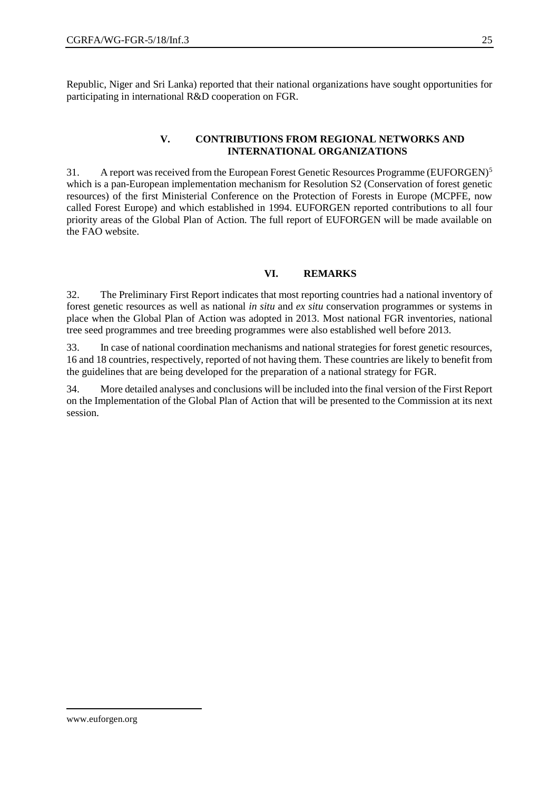Republic, Niger and Sri Lanka) reported that their national organizations have sought opportunities for participating in international R&D cooperation on FGR.

#### **V. CONTRIBUTIONS FROM REGIONAL NETWORKS AND INTERNATIONAL ORGANIZATIONS**

31. A report was received from the European Forest Genetic Resources Programme (EUFORGEN)<sup>5</sup> which is a pan-European implementation mechanism for Resolution S2 (Conservation of forest genetic resources) of the first Ministerial Conference on the Protection of Forests in Europe (MCPFE, now called Forest Europe) and which established in 1994. EUFORGEN reported contributions to all four priority areas of the Global Plan of Action. The full report of EUFORGEN will be made available on the FAO website.

#### **VI. REMARKS**

32. The Preliminary First Report indicates that most reporting countries had a national inventory of forest genetic resources as well as national *in situ* and *ex situ* conservation programmes or systems in place when the Global Plan of Action was adopted in 2013. Most national FGR inventories, national tree seed programmes and tree breeding programmes were also established well before 2013.

33. In case of national coordination mechanisms and national strategies for forest genetic resources, 16 and 18 countries, respectively, reported of not having them. These countries are likely to benefit from the guidelines that are being developed for the preparation of a national strategy for FGR.

34. More detailed analyses and conclusions will be included into the final version of the First Report on the Implementation of the Global Plan of Action that will be presented to the Commission at its next session.

 $\overline{a}$ 

www.euforgen.org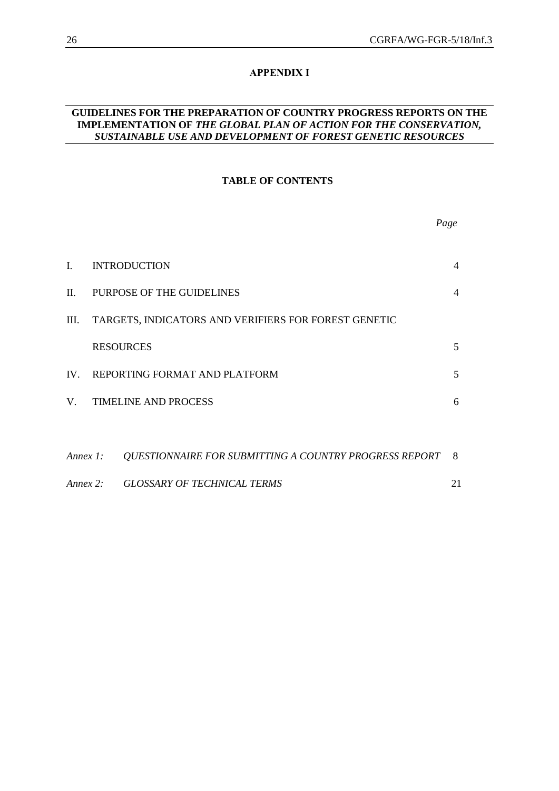#### **APPENDIX I**

#### **GUIDELINES FOR THE PREPARATION OF COUNTRY PROGRESS REPORTS ON THE IMPLEMENTATION OF** *THE GLOBAL PLAN OF ACTION FOR THE CONSERVATION, SUSTAINABLE USE AND DEVELOPMENT OF FOREST GENETIC RESOURCES*

#### **TABLE OF CONTENTS**

|                |                                                        | Page           |
|----------------|--------------------------------------------------------|----------------|
| $\mathbf{I}$ . | <b>INTRODUCTION</b>                                    | $\overline{4}$ |
| П.             | PURPOSE OF THE GUIDELINES                              | $\overline{4}$ |
| Ш.             | TARGETS, INDICATORS AND VERIFIERS FOR FOREST GENETIC   |                |
|                | <b>RESOURCES</b>                                       | 5              |
|                | IV. REPORTING FORMAT AND PLATFORM                      | 5              |
|                | V. TIMELINE AND PROCESS                                | 6              |
|                |                                                        |                |
| Annex 1:       | QUESTIONNAIRE FOR SUBMITTING A COUNTRY PROGRESS REPORT | - 8            |
| Annex 2:       | GLOSSARY OF TECHNICAL TERMS                            | 21             |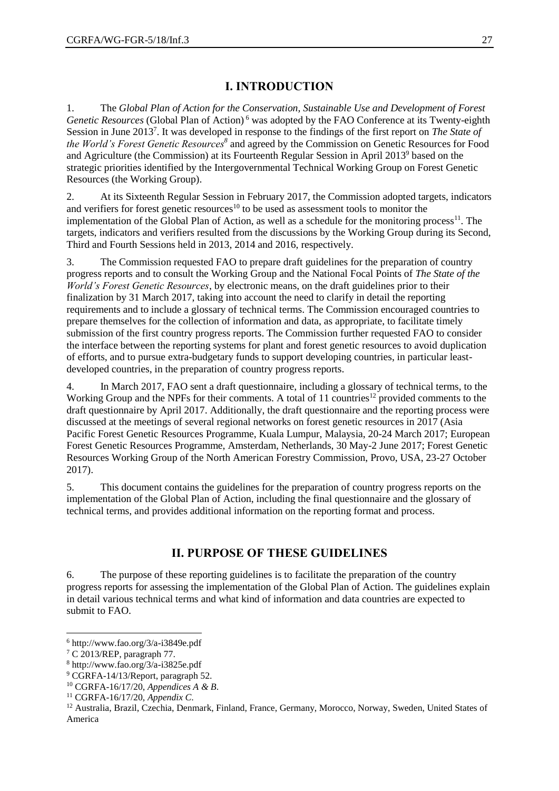# **I. INTRODUCTION**

1. The *Global Plan of Action for the Conservation, Sustainable Use and Development of Forest Genetic Resources* (Global Plan of Action)<sup>6</sup> was adopted by the FAO Conference at its Twenty-eighth Session in June 2013<sup>7</sup>. It was developed in response to the findings of the first report on *The State of the World's Forest Genetic Resources<sup>8</sup>* and agreed by the Commission on Genetic Resources for Food and Agriculture (the Commission) at its Fourteenth Regular Session in April 2013<sup>9</sup> based on the strategic priorities identified by the Intergovernmental Technical Working Group on Forest Genetic Resources (the Working Group).

2. At its Sixteenth Regular Session in February 2017, the Commission adopted targets, indicators and verifiers for forest genetic resources<sup>10</sup> to be used as assessment tools to monitor the implementation of the Global Plan of Action, as well as a schedule for the monitoring process<sup>11</sup>. The targets, indicators and verifiers resulted from the discussions by the Working Group during its Second, Third and Fourth Sessions held in 2013, 2014 and 2016, respectively.

3. The Commission requested FAO to prepare draft guidelines for the preparation of country progress reports and to consult the Working Group and the National Focal Points of *The State of the World's Forest Genetic Resources*, by electronic means, on the draft guidelines prior to their finalization by 31 March 2017, taking into account the need to clarify in detail the reporting requirements and to include a glossary of technical terms. The Commission encouraged countries to prepare themselves for the collection of information and data, as appropriate, to facilitate timely submission of the first country progress reports. The Commission further requested FAO to consider the interface between the reporting systems for plant and forest genetic resources to avoid duplication of efforts, and to pursue extra-budgetary funds to support developing countries, in particular leastdeveloped countries, in the preparation of country progress reports.

4. In March 2017, FAO sent a draft questionnaire, including a glossary of technical terms, to the Working Group and the NPFs for their comments. A total of 11 countries<sup>12</sup> provided comments to the draft questionnaire by April 2017. Additionally, the draft questionnaire and the reporting process were discussed at the meetings of several regional networks on forest genetic resources in 2017 (Asia Pacific Forest Genetic Resources Programme, Kuala Lumpur, Malaysia, 20-24 March 2017; European Forest Genetic Resources Programme, Amsterdam, Netherlands, 30 May-2 June 2017; Forest Genetic Resources Working Group of the North American Forestry Commission, Provo, USA, 23-27 October 2017).

5. This document contains the guidelines for the preparation of country progress reports on the implementation of the Global Plan of Action, including the final questionnaire and the glossary of technical terms, and provides additional information on the reporting format and process.

# **II. PURPOSE OF THESE GUIDELINES**

6. The purpose of these reporting guidelines is to facilitate the preparation of the country progress reports for assessing the implementation of the Global Plan of Action. The guidelines explain in detail various technical terms and what kind of information and data countries are expected to submit to FAO.

l

 $6$  http://www.fao.org/3/a-i3849e.pdf

<sup>7</sup> C 2013/REP, paragraph 77.

<sup>8</sup> http://www.fao.org/3/a-i3825e.pdf

<sup>9</sup> CGRFA-14/13/Report, paragraph 52.

<sup>10</sup> CGRFA-16/17/20, *Appendices A & B*.

<sup>11</sup> CGRFA-16/17/20, *Appendix C*.

<sup>&</sup>lt;sup>12</sup> Australia, Brazil, Czechia, Denmark, Finland, France, Germany, Morocco, Norway, Sweden, United States of America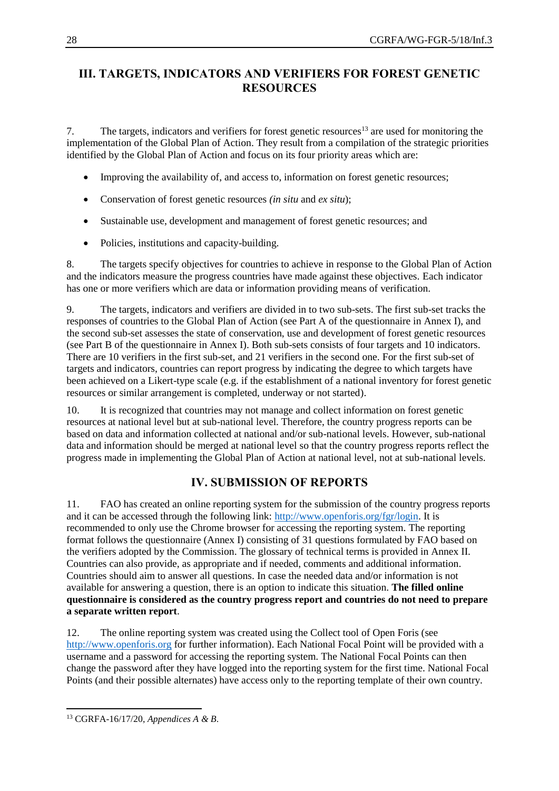# **III. TARGETS, INDICATORS AND VERIFIERS FOR FOREST GENETIC RESOURCES**

7. The targets, indicators and verifiers for forest genetic resources<sup>13</sup> are used for monitoring the implementation of the Global Plan of Action. They result from a compilation of the strategic priorities identified by the Global Plan of Action and focus on its four priority areas which are:

- Improving the availability of, and access to, information on forest genetic resources;
- Conservation of forest genetic resources *(in situ* and *ex situ*);
- Sustainable use, development and management of forest genetic resources; and
- Policies, institutions and capacity-building.

8. The targets specify objectives for countries to achieve in response to the Global Plan of Action and the indicators measure the progress countries have made against these objectives. Each indicator has one or more verifiers which are data or information providing means of verification.

9. The targets, indicators and verifiers are divided in to two sub-sets. The first sub-set tracks the responses of countries to the Global Plan of Action (see Part A of the questionnaire in Annex I), and the second sub-set assesses the state of conservation, use and development of forest genetic resources (see Part B of the questionnaire in Annex I). Both sub-sets consists of four targets and 10 indicators. There are 10 verifiers in the first sub-set, and 21 verifiers in the second one. For the first sub-set of targets and indicators, countries can report progress by indicating the degree to which targets have been achieved on a Likert-type scale (e.g. if the establishment of a national inventory for forest genetic resources or similar arrangement is completed, underway or not started).

10. It is recognized that countries may not manage and collect information on forest genetic resources at national level but at sub-national level. Therefore, the country progress reports can be based on data and information collected at national and/or sub-national levels. However, sub-national data and information should be merged at national level so that the country progress reports reflect the progress made in implementing the Global Plan of Action at national level, not at sub-national levels.

# **IV. SUBMISSION OF REPORTS**

11. FAO has created an online reporting system for the submission of the country progress reports and it can be accessed through the following link: [http://www.openforis.org/fgr/login.](http://www.openforis.org/fgr/login) It is recommended to only use the Chrome browser for accessing the reporting system. The reporting format follows the questionnaire (Annex I) consisting of 31 questions formulated by FAO based on the verifiers adopted by the Commission. The glossary of technical terms is provided in Annex II. Countries can also provide, as appropriate and if needed, comments and additional information. Countries should aim to answer all questions. In case the needed data and/or information is not available for answering a question, there is an option to indicate this situation. **The filled online questionnaire is considered as the country progress report and countries do not need to prepare a separate written report**.

12. The online reporting system was created using the Collect tool of Open Foris (see [http://www.openforis.org](http://www.openforis.org/) for further information). Each National Focal Point will be provided with a username and a password for accessing the reporting system. The National Focal Points can then change the password after they have logged into the reporting system for the first time. National Focal Points (and their possible alternates) have access only to the reporting template of their own country.

 $\overline{a}$ <sup>13</sup> CGRFA-16/17/20, *Appendices A & B*.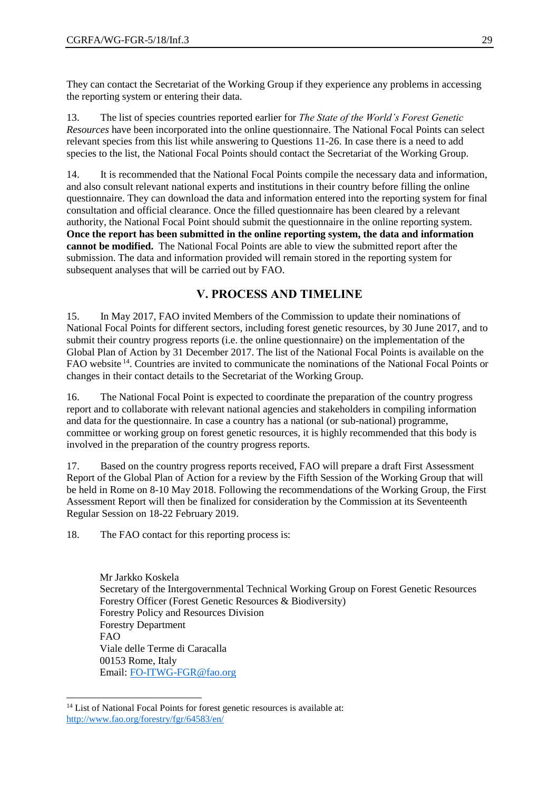They can contact the Secretariat of the Working Group if they experience any problems in accessing the reporting system or entering their data.

13. The list of species countries reported earlier for *The State of the World's Forest Genetic Resources* have been incorporated into the online questionnaire. The National Focal Points can select relevant species from this list while answering to Questions 11-26. In case there is a need to add species to the list, the National Focal Points should contact the Secretariat of the Working Group.

14. It is recommended that the National Focal Points compile the necessary data and information, and also consult relevant national experts and institutions in their country before filling the online questionnaire. They can download the data and information entered into the reporting system for final consultation and official clearance. Once the filled questionnaire has been cleared by a relevant authority, the National Focal Point should submit the questionnaire in the online reporting system. **Once the report has been submitted in the online reporting system, the data and information cannot be modified.** The National Focal Points are able to view the submitted report after the submission. The data and information provided will remain stored in the reporting system for subsequent analyses that will be carried out by FAO.

# **V. PROCESS AND TIMELINE**

15. In May 2017, FAO invited Members of the Commission to update their nominations of National Focal Points for different sectors, including forest genetic resources, by 30 June 2017, and to submit their country progress reports (i.e. the online questionnaire) on the implementation of the Global Plan of Action by 31 December 2017. The list of the National Focal Points is available on the FAO website <sup>14</sup>. Countries are invited to communicate the nominations of the National Focal Points or changes in their contact details to the Secretariat of the Working Group.

16. The National Focal Point is expected to coordinate the preparation of the country progress report and to collaborate with relevant national agencies and stakeholders in compiling information and data for the questionnaire. In case a country has a national (or sub-national) programme, committee or working group on forest genetic resources, it is highly recommended that this body is involved in the preparation of the country progress reports.

17. Based on the country progress reports received, FAO will prepare a draft First Assessment Report of the Global Plan of Action for a review by the Fifth Session of the Working Group that will be held in Rome on 8-10 May 2018. Following the recommendations of the Working Group, the First Assessment Report will then be finalized for consideration by the Commission at its Seventeenth Regular Session on 18-22 February 2019.

18. The FAO contact for this reporting process is:

Mr Jarkko Koskela Secretary of the Intergovernmental Technical Working Group on Forest Genetic Resources Forestry Officer (Forest Genetic Resources & Biodiversity) Forestry Policy and Resources Division Forestry Department FAO Viale delle Terme di Caracalla 00153 Rome, Italy Email: [FO-ITWG-FGR@fao.org](mailto:FO-ITWG-FGR@fao.org)

l

<sup>&</sup>lt;sup>14</sup> List of National Focal Points for forest genetic resources is available at: <http://www.fao.org/forestry/fgr/64583/en/>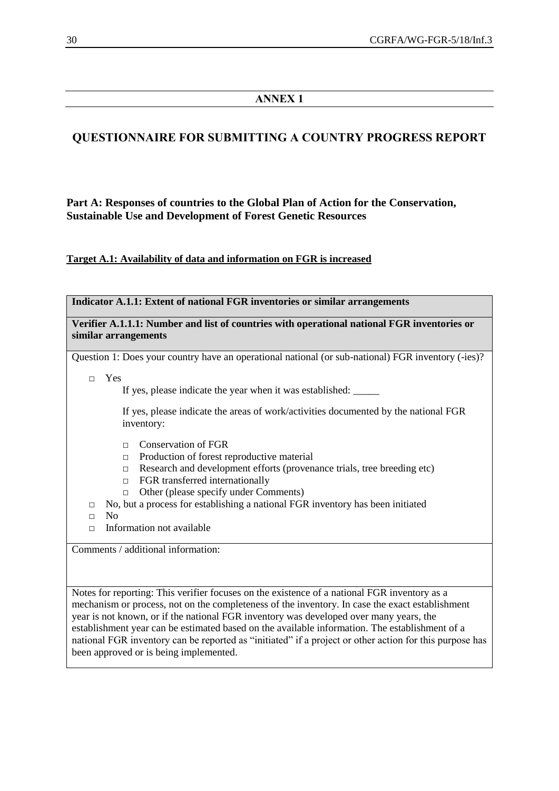# **ANNEX 1**

# **QUESTIONNAIRE FOR SUBMITTING A COUNTRY PROGRESS REPORT**

# **Part A: Responses of countries to the Global Plan of Action for the Conservation, Sustainable Use and Development of Forest Genetic Resources**

**Target A.1: Availability of data and information on FGR is increased**

| Indicator A.1.1: Extent of national FGR inventories or similar arrangements                                                                                                                                                                                                                                                                                                                                                                                                                                                                      |  |  |  |
|--------------------------------------------------------------------------------------------------------------------------------------------------------------------------------------------------------------------------------------------------------------------------------------------------------------------------------------------------------------------------------------------------------------------------------------------------------------------------------------------------------------------------------------------------|--|--|--|
| Verifier A.1.1.1: Number and list of countries with operational national FGR inventories or<br>similar arrangements                                                                                                                                                                                                                                                                                                                                                                                                                              |  |  |  |
| Question 1: Does your country have an operational national (or sub-national) FGR inventory (-ies)?                                                                                                                                                                                                                                                                                                                                                                                                                                               |  |  |  |
| Yes<br>$\Box$                                                                                                                                                                                                                                                                                                                                                                                                                                                                                                                                    |  |  |  |
| If yes, please indicate the areas of work/activities documented by the national FGR<br>inventory:                                                                                                                                                                                                                                                                                                                                                                                                                                                |  |  |  |
| <b>Conservation of FGR</b><br>$\Box$<br>Production of forest reproductive material<br>$\Box$<br>Research and development efforts (provenance trials, tree breeding etc)<br>П<br>FGR transferred internationally<br>$\Box$<br>Other (please specify under Comments)<br>П<br>No, but a process for establishing a national FGR inventory has been initiated<br>$\Box$<br>N <sub>0</sub><br>$\Box$<br>Information not available<br>П                                                                                                                |  |  |  |
| Comments / additional information:                                                                                                                                                                                                                                                                                                                                                                                                                                                                                                               |  |  |  |
| Notes for reporting: This verifier focuses on the existence of a national FGR inventory as a<br>mechanism or process, not on the completeness of the inventory. In case the exact establishment<br>year is not known, or if the national FGR inventory was developed over many years, the<br>establishment year can be estimated based on the available information. The establishment of a<br>national FGR inventory can be reported as "initiated" if a project or other action for this purpose has<br>been approved or is being implemented. |  |  |  |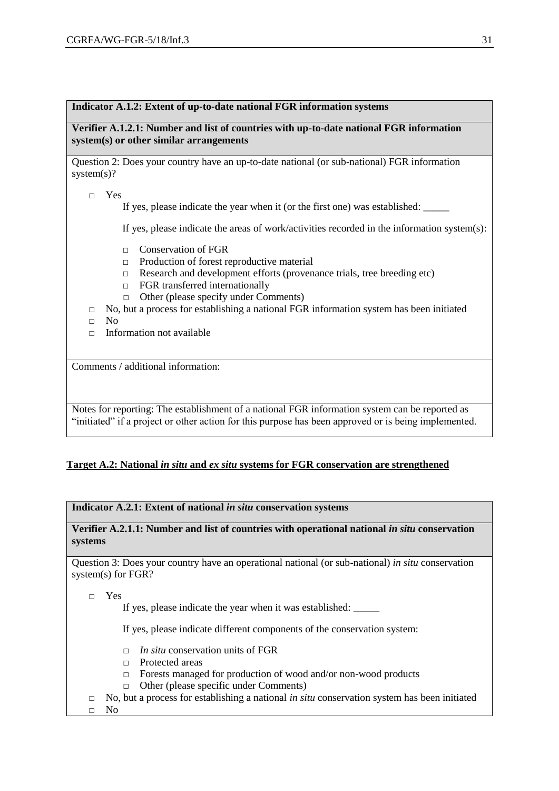#### **Indicator A.1.2: Extent of up-to-date national FGR information systems**

**Verifier A.1.2.1: Number and list of countries with up-to-date national FGR information system(s) or other similar arrangements**

Question 2: Does your country have an up-to-date national (or sub-national) FGR information system(s)?

□ Yes

If yes, please indicate the year when it (or the first one) was established:

If yes, please indicate the areas of work/activities recorded in the information system(s):

- □ Conservation of FGR
- □ Production of forest reproductive material
- □ Research and development efforts (provenance trials, tree breeding etc)
- □ FGR transferred internationally
- □ Other (please specify under Comments)
- $\Box$  No, but a process for establishing a national FGR information system has been initiated
- □ No
- $\Box$  Information not available

Comments / additional information:

Notes for reporting: The establishment of a national FGR information system can be reported as "initiated" if a project or other action for this purpose has been approved or is being implemented.

#### **Target A.2: National** *in situ* **and** *ex situ* **systems for FGR conservation are strengthened**

**Indicator A.2.1: Extent of national** *in situ* **conservation systems**

**Verifier A.2.1.1: Number and list of countries with operational national** *in situ* **conservation systems**

Question 3: Does your country have an operational national (or sub-national) *in situ* conservation system(s) for FGR?

□ Yes

If yes, please indicate the year when it was established:  $\equiv$ 

If yes, please indicate different components of the conservation system:

- □ *In situ* conservation units of FGR
- □ Protected areas
- □ Forests managed for production of wood and/or non-wood products
- □ Other (please specific under Comments)
- □ No, but a process for establishing a national *in situ* conservation system has been initiated

□ No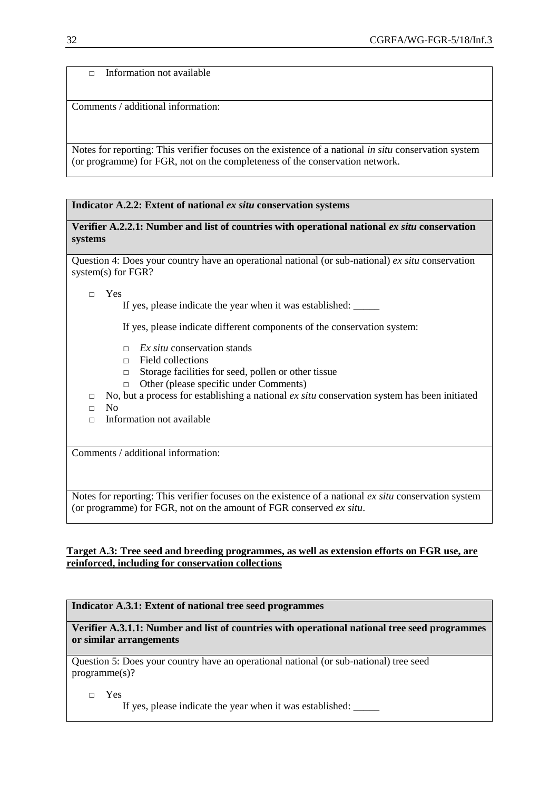Information not available

Comments / additional information:

Notes for reporting: This verifier focuses on the existence of a national *in situ* conservation system (or programme) for FGR, not on the completeness of the conservation network.

#### **Indicator A.2.2: Extent of national** *ex situ* **conservation systems**

**Verifier A.2.2.1: Number and list of countries with operational national** *ex situ* **conservation systems**

Question 4: Does your country have an operational national (or sub-national) *ex situ* conservation system(s) for FGR?

□ Yes

If yes, please indicate the year when it was established:

If yes, please indicate different components of the conservation system:

- □ *Ex situ* conservation stands
- □ Field collections
- □ Storage facilities for seed, pollen or other tissue
- □ Other (please specific under Comments)
- □ No, but a process for establishing a national *ex situ* conservation system has been initiated
- □ No
- $\Box$  Information not available

Comments / additional information:

Notes for reporting: This verifier focuses on the existence of a national *ex situ* conservation system (or programme) for FGR, not on the amount of FGR conserved *ex situ*.

#### **Target A.3: Tree seed and breeding programmes, as well as extension efforts on FGR use, are reinforced, including for conservation collections**

#### **Indicator A.3.1: Extent of national tree seed programmes**

**Verifier A.3.1.1: Number and list of countries with operational national tree seed programmes or similar arrangements**

Question 5: Does your country have an operational national (or sub-national) tree seed programme(s)?

□ Yes

If yes, please indicate the year when it was established: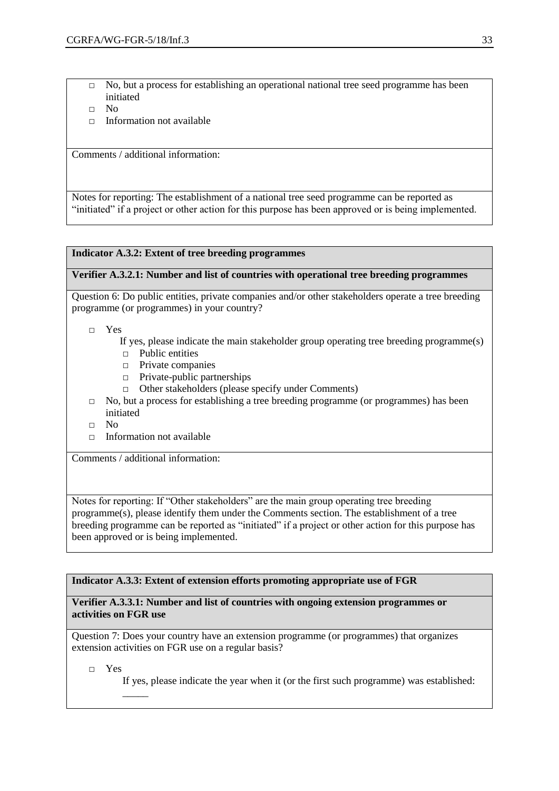- □ No, but a process for establishing an operational national tree seed programme has been initiated
- □ No
- $\Box$  Information not available

Comments / additional information:

Notes for reporting: The establishment of a national tree seed programme can be reported as "initiated" if a project or other action for this purpose has been approved or is being implemented.

#### **Indicator A.3.2: Extent of tree breeding programmes**

#### **Verifier A.3.2.1: Number and list of countries with operational tree breeding programmes**

Question 6: Do public entities, private companies and/or other stakeholders operate a tree breeding programme (or programmes) in your country?

- □ Yes
	- If yes, please indicate the main stakeholder group operating tree breeding programme(s)
	- □ Public entities
	- □ Private companies
	- □ Private-public partnerships
	- □ Other stakeholders (please specify under Comments)
- $\Box$  No, but a process for establishing a tree breeding programme (or programmes) has been initiated
- □ No
- □ Information not available

Comments / additional information:

Notes for reporting: If "Other stakeholders" are the main group operating tree breeding programme(s), please identify them under the Comments section. The establishment of a tree breeding programme can be reported as "initiated" if a project or other action for this purpose has been approved or is being implemented.

#### **Indicator A.3.3: Extent of extension efforts promoting appropriate use of FGR**

#### **Verifier A.3.3.1: Number and list of countries with ongoing extension programmes or activities on FGR use**

Question 7: Does your country have an extension programme (or programmes) that organizes extension activities on FGR use on a regular basis?

□ Yes

 $\overline{\phantom{a}}$ 

If yes, please indicate the year when it (or the first such programme) was established: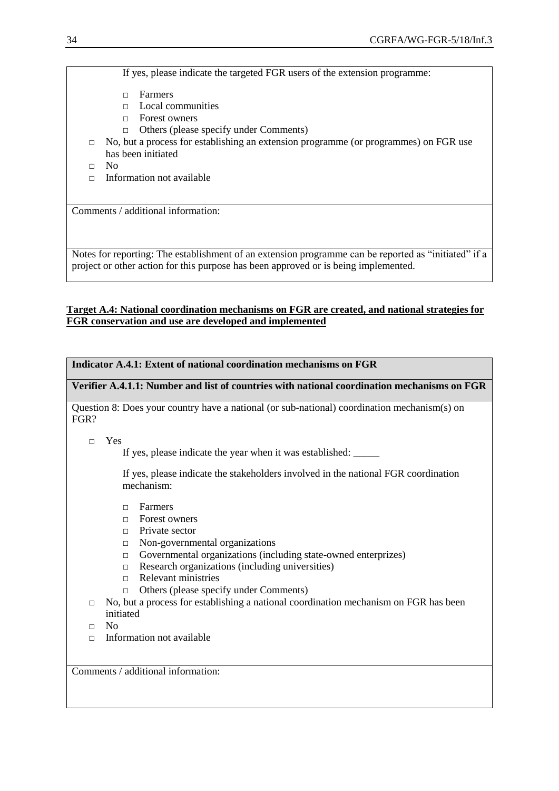If yes, please indicate the targeted FGR users of the extension programme:

- □ Farmers
- □ Local communities
- □ Forest owners
- □ Others (please specify under Comments)
- $\Box$  No, but a process for establishing an extension programme (or programmes) on FGR use has been initiated
- □ No
- $\Box$  Information not available

Comments / additional information:

Notes for reporting: The establishment of an extension programme can be reported as "initiated" if a project or other action for this purpose has been approved or is being implemented.

#### **Target A.4: National coordination mechanisms on FGR are created, and national strategies for FGR conservation and use are developed and implemented**

#### **Indicator A.4.1: Extent of national coordination mechanisms on FGR**

**Verifier A.4.1.1: Number and list of countries with national coordination mechanisms on FGR**

Question 8: Does your country have a national (or sub-national) coordination mechanism(s) on FGR?

□ Yes

If yes, please indicate the year when it was established:

If yes, please indicate the stakeholders involved in the national FGR coordination mechanism:

- □ Farmers
- □ Forest owners
- □ Private sector
- □ Non-governmental organizations
- □ Governmental organizations (including state-owned enterprizes)
- $\Box$  Research organizations (including universities)
- □ Relevant ministries
- □ Others (please specify under Comments)
- $\Box$  No, but a process for establishing a national coordination mechanism on FGR has been initiated
- $\neg$  No
- $\Box$  Information not available

Comments / additional information: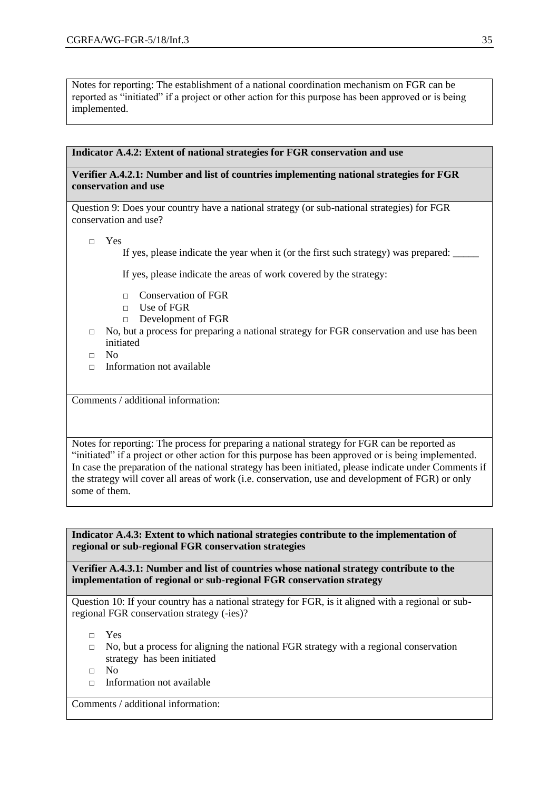Notes for reporting: The establishment of a national coordination mechanism on FGR can be reported as "initiated" if a project or other action for this purpose has been approved or is being implemented.

#### **Indicator A.4.2: Extent of national strategies for FGR conservation and use**

#### **Verifier A.4.2.1: Number and list of countries implementing national strategies for FGR conservation and use**

Question 9: Does your country have a national strategy (or sub-national strategies) for FGR conservation and use?

□ Yes

If yes, please indicate the year when it (or the first such strategy) was prepared:

If yes, please indicate the areas of work covered by the strategy:

- □ Conservation of FGR
- □ Use of FGR
- □ Development of FGR
- □ No, but a process for preparing a national strategy for FGR conservation and use has been initiated
- □ No
- $\Box$  Information not available

Comments / additional information:

Notes for reporting: The process for preparing a national strategy for FGR can be reported as "initiated" if a project or other action for this purpose has been approved or is being implemented. In case the preparation of the national strategy has been initiated, please indicate under Comments if the strategy will cover all areas of work (i.e. conservation, use and development of FGR) or only some of them.

**Indicator A.4.3: Extent to which national strategies contribute to the implementation of regional or sub-regional FGR conservation strategies**

**Verifier A.4.3.1: Number and list of countries whose national strategy contribute to the implementation of regional or sub-regional FGR conservation strategy**

Question 10: If your country has a national strategy for FGR, is it aligned with a regional or subregional FGR conservation strategy (-ies)?

□ Yes

- $\Box$  No, but a process for aligning the national FGR strategy with a regional conservation strategy has been initiated
- □ No
- $\Box$  Information not available

Comments / additional information: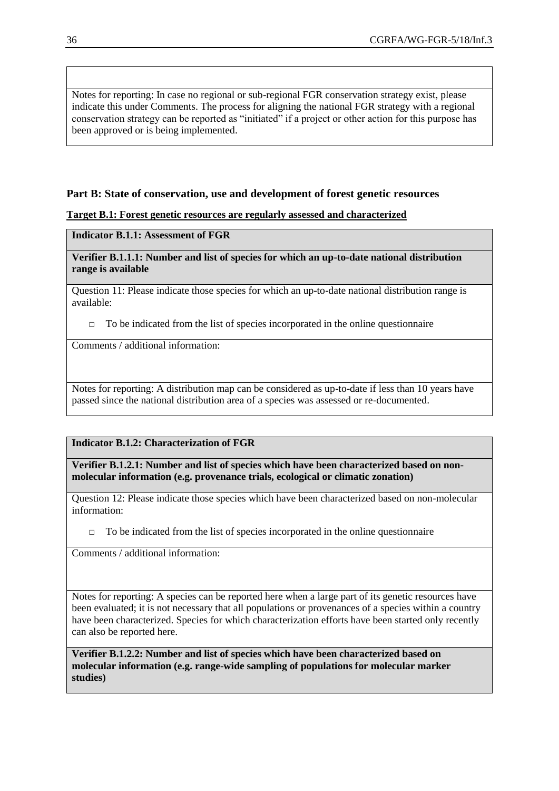Notes for reporting: In case no regional or sub-regional FGR conservation strategy exist, please indicate this under Comments. The process for aligning the national FGR strategy with a regional conservation strategy can be reported as "initiated" if a project or other action for this purpose has been approved or is being implemented.

### **Part B: State of conservation, use and development of forest genetic resources**

#### **Target B.1: Forest genetic resources are regularly assessed and characterized**

#### **Indicator B.1.1: Assessment of FGR**

#### **Verifier B.1.1.1: Number and list of species for which an up-to-date national distribution range is available**

Question 11: Please indicate those species for which an up-to-date national distribution range is available:

 $\Box$  To be indicated from the list of species incorporated in the online questionnaire

Comments / additional information:

Notes for reporting: A distribution map can be considered as up-to-date if less than 10 years have passed since the national distribution area of a species was assessed or re-documented.

## **Indicator B.1.2: Characterization of FGR**

**Verifier B.1.2.1: Number and list of species which have been characterized based on nonmolecular information (e.g. provenance trials, ecological or climatic zonation)**

Question 12: Please indicate those species which have been characterized based on non-molecular information:

 $\Box$  To be indicated from the list of species incorporated in the online questionnaire

Comments / additional information:

Notes for reporting: A species can be reported here when a large part of its genetic resources have been evaluated; it is not necessary that all populations or provenances of a species within a country have been characterized. Species for which characterization efforts have been started only recently can also be reported here.

**Verifier B.1.2.2: Number and list of species which have been characterized based on molecular information (e.g. range-wide sampling of populations for molecular marker studies)**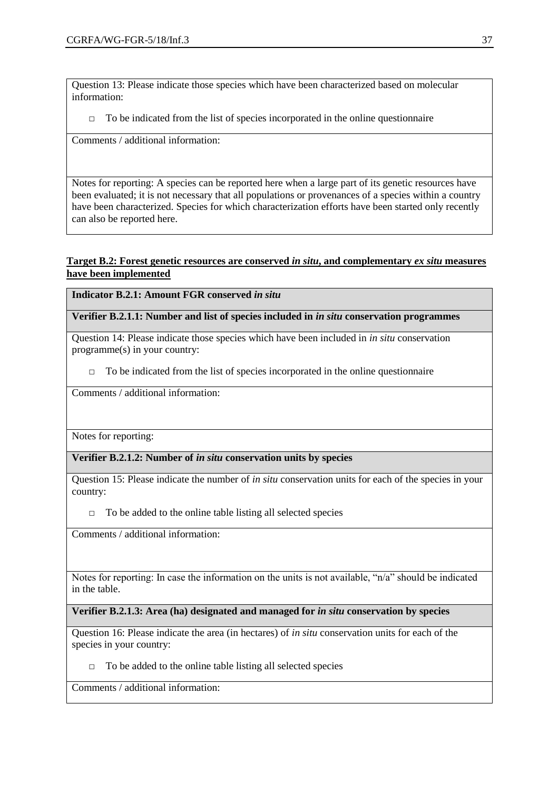Question 13: Please indicate those species which have been characterized based on molecular information:

 $\Box$  To be indicated from the list of species incorporated in the online questionnaire

Comments / additional information:

Notes for reporting: A species can be reported here when a large part of its genetic resources have been evaluated; it is not necessary that all populations or provenances of a species within a country have been characterized. Species for which characterization efforts have been started only recently can also be reported here.

#### **Target B.2: Forest genetic resources are conserved** *in situ***, and complementary** *ex situ* **measures have been implemented**

**Indicator B.2.1: Amount FGR conserved in situ** 

**Verifier B.2.1.1: Number and list of species included in** *in situ* **conservation programmes**

Question 14: Please indicate those species which have been included in *in situ* conservation programme(s) in your country:

□ To be indicated from the list of species incorporated in the online questionnaire

Comments / additional information:

Notes for reporting:

**Verifier B.2.1.2: Number of** *in situ* **conservation units by species**

Question 15: Please indicate the number of *in situ* conservation units for each of the species in your country:

 $\Box$  To be added to the online table listing all selected species

Comments / additional information:

Notes for reporting: In case the information on the units is not available, "n/a" should be indicated in the table.

**Verifier B.2.1.3: Area (ha) designated and managed for** *in situ* **conservation by species**

Question 16: Please indicate the area (in hectares) of *in situ* conservation units for each of the species in your country:

 $\Box$  To be added to the online table listing all selected species

Comments / additional information: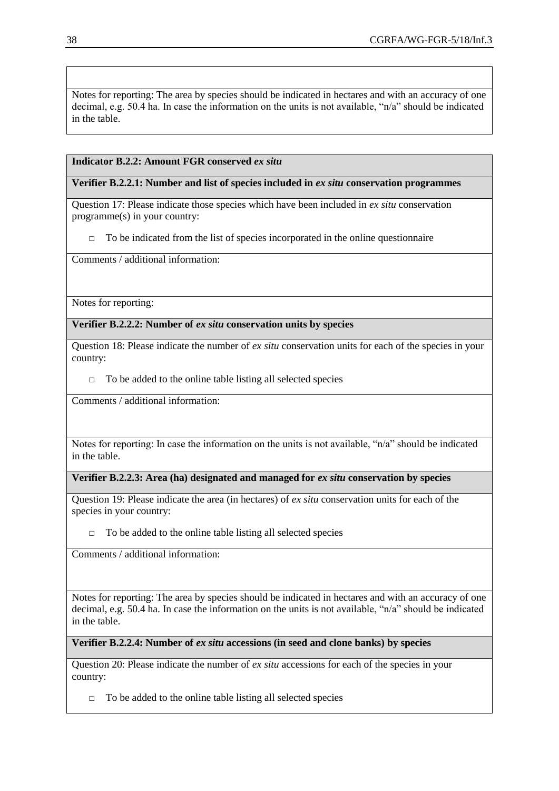Notes for reporting: The area by species should be indicated in hectares and with an accuracy of one decimal, e.g. 50.4 ha. In case the information on the units is not available, "n/a" should be indicated in the table.

#### **Indicator B.2.2: Amount FGR conserved** *ex situ*

#### **Verifier B.2.2.1: Number and list of species included in** *ex situ* **conservation programmes**

Question 17: Please indicate those species which have been included in *ex situ* conservation programme(s) in your country:

 $\Box$  To be indicated from the list of species incorporated in the online questionnaire

Comments / additional information:

Notes for reporting:

**Verifier B.2.2.2: Number of** *ex situ* **conservation units by species**

Question 18: Please indicate the number of *ex situ* conservation units for each of the species in your country:

 $\Box$  To be added to the online table listing all selected species

Comments / additional information:

Notes for reporting: In case the information on the units is not available, "n/a" should be indicated in the table.

**Verifier B.2.2.3: Area (ha) designated and managed for** *ex situ* **conservation by species**

Question 19: Please indicate the area (in hectares) of *ex situ* conservation units for each of the species in your country:

 $\Box$  To be added to the online table listing all selected species

Comments / additional information:

Notes for reporting: The area by species should be indicated in hectares and with an accuracy of one decimal, e.g. 50.4 ha. In case the information on the units is not available, "n/a" should be indicated in the table.

**Verifier B.2.2.4: Number of** *ex situ* **accessions (in seed and clone banks) by species**

Question 20: Please indicate the number of *ex situ* accessions for each of the species in your country:

 $\Box$  To be added to the online table listing all selected species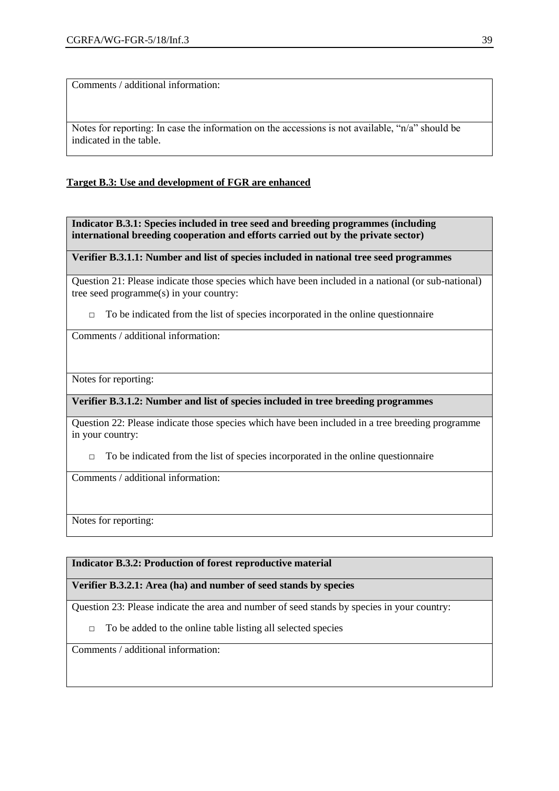Comments / additional information:

Notes for reporting: In case the information on the accessions is not available, "n/a" should be indicated in the table.

#### **Target B.3: Use and development of FGR are enhanced**

**Indicator B.3.1: Species included in tree seed and breeding programmes (including international breeding cooperation and efforts carried out by the private sector)**

**Verifier B.3.1.1: Number and list of species included in national tree seed programmes**

Question 21: Please indicate those species which have been included in a national (or sub-national) tree seed programme(s) in your country:

 $\Box$  To be indicated from the list of species incorporated in the online questionnaire

Comments / additional information:

Notes for reporting:

**Verifier B.3.1.2: Number and list of species included in tree breeding programmes**

Question 22: Please indicate those species which have been included in a tree breeding programme in your country:

 $\Box$  To be indicated from the list of species incorporated in the online questionnaire

Comments / additional information:

Notes for reporting:

#### **Indicator B.3.2: Production of forest reproductive material**

#### **Verifier B.3.2.1: Area (ha) and number of seed stands by species**

Question 23: Please indicate the area and number of seed stands by species in your country:

 $\Box$  To be added to the online table listing all selected species

Comments / additional information: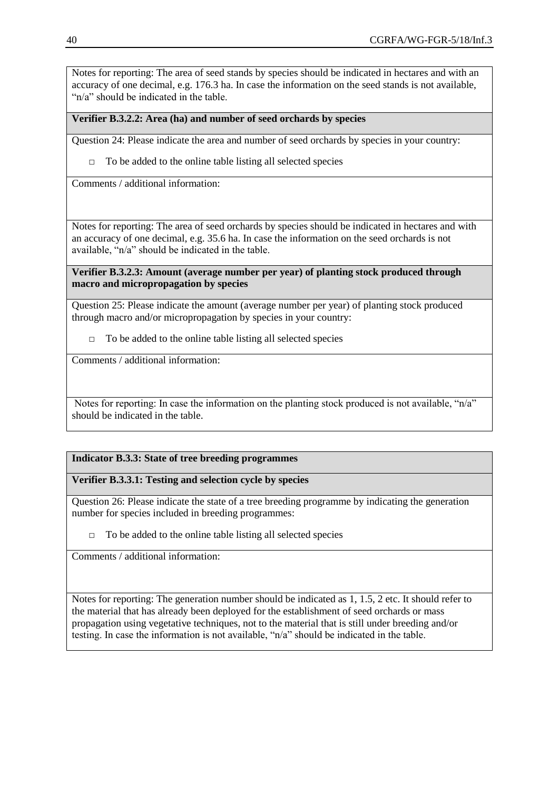Notes for reporting: The area of seed stands by species should be indicated in hectares and with an accuracy of one decimal, e.g. 176.3 ha. In case the information on the seed stands is not available, " $n/a$ " should be indicated in the table.

#### **Verifier B.3.2.2: Area (ha) and number of seed orchards by species**

Question 24: Please indicate the area and number of seed orchards by species in your country:

 $\Box$  To be added to the online table listing all selected species

Comments / additional information:

Notes for reporting: The area of seed orchards by species should be indicated in hectares and with an accuracy of one decimal, e.g. 35.6 ha. In case the information on the seed orchards is not available, "n/a" should be indicated in the table.

**Verifier B.3.2.3: Amount (average number per year) of planting stock produced through macro and micropropagation by species**

Question 25: Please indicate the amount (average number per year) of planting stock produced through macro and/or micropropagation by species in your country:

 $\Box$  To be added to the online table listing all selected species

Comments / additional information:

Notes for reporting: In case the information on the planting stock produced is not available, "n/a" should be indicated in the table.

#### **Indicator B.3.3: State of tree breeding programmes**

#### **Verifier B.3.3.1: Testing and selection cycle by species**

Question 26: Please indicate the state of a tree breeding programme by indicating the generation number for species included in breeding programmes:

□ To be added to the online table listing all selected species

Comments / additional information:

Notes for reporting: The generation number should be indicated as 1, 1.5, 2 etc. It should refer to the material that has already been deployed for the establishment of seed orchards or mass propagation using vegetative techniques, not to the material that is still under breeding and/or testing. In case the information is not available, "n/a" should be indicated in the table.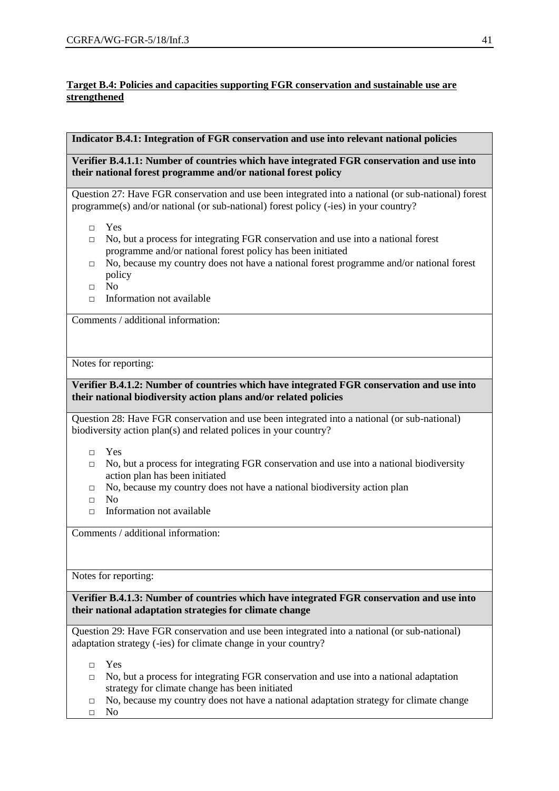#### **Target B.4: Policies and capacities supporting FGR conservation and sustainable use are strengthened**

#### **Indicator B.4.1: Integration of FGR conservation and use into relevant national policies**

**Verifier B.4.1.1: Number of countries which have integrated FGR conservation and use into their national forest programme and/or national forest policy**

Question 27: Have FGR conservation and use been integrated into a national (or sub-national) forest programme(s) and/or national (or sub-national) forest policy (-ies) in your country?

- □ Yes
- $\Box$  No, but a process for integrating FGR conservation and use into a national forest programme and/or national forest policy has been initiated
- $\Box$  No, because my country does not have a national forest programme and/or national forest policy
- □ No
- $\Box$  Information not available

Comments / additional information:

Notes for reporting:

#### **Verifier B.4.1.2: Number of countries which have integrated FGR conservation and use into their national biodiversity action plans and/or related policies**

Question 28: Have FGR conservation and use been integrated into a national (or sub-national) biodiversity action plan(s) and related polices in your country?

- □ Yes
- $\Box$  No, but a process for integrating FGR conservation and use into a national biodiversity action plan has been initiated
- □ No, because my country does not have a national biodiversity action plan
- □ No
- $\Box$  Information not available

Comments / additional information:

Notes for reporting:

**Verifier B.4.1.3: Number of countries which have integrated FGR conservation and use into their national adaptation strategies for climate change**

Question 29: Have FGR conservation and use been integrated into a national (or sub-national) adaptation strategy (-ies) for climate change in your country?

- □ Yes
- $\Box$  No, but a process for integrating FGR conservation and use into a national adaptation strategy for climate change has been initiated
- $\Box$  No, because my country does not have a national adaptation strategy for climate change
- □ No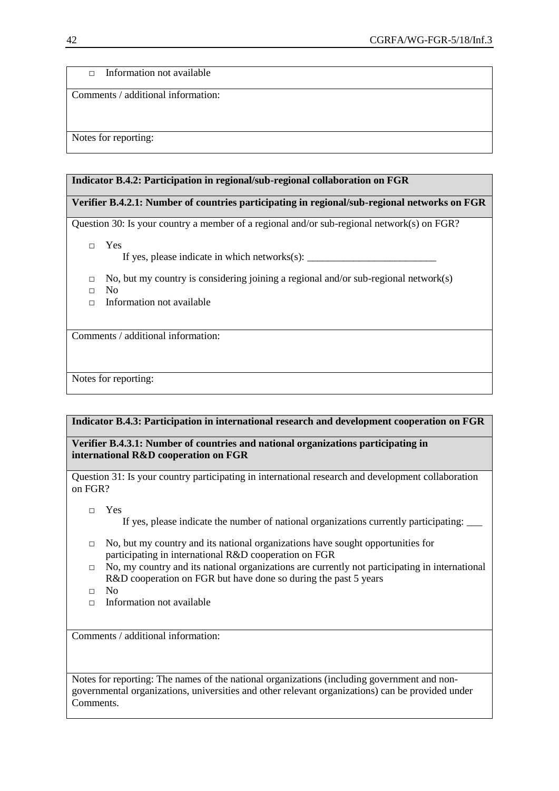□ Information not available

Comments / additional information:

Notes for reporting:

#### **Indicator B.4.2: Participation in regional/sub-regional collaboration on FGR**

#### **Verifier B.4.2.1: Number of countries participating in regional/sub-regional networks on FGR**

Question 30: Is your country a member of a regional and/or sub-regional network(s) on FGR?

□ Yes

If yes, please indicate in which networks(s): \_\_\_\_\_\_\_\_\_\_\_\_\_\_\_\_\_\_\_\_\_\_\_\_\_

- $\Box$  No, but my country is considering joining a regional and/or sub-regional network(s)
- □ No
- □ Information not available

Comments / additional information:

Notes for reporting:

#### **Indicator B.4.3: Participation in international research and development cooperation on FGR**

**Verifier B.4.3.1: Number of countries and national organizations participating in international R&D cooperation on FGR**

Question 31: Is your country participating in international research and development collaboration on FGR?

□ Yes

If yes, please indicate the number of national organizations currently participating: \_\_\_

- $\Box$  No, but my country and its national organizations have sought opportunities for participating in international R&D cooperation on FGR
- $\Box$  No, my country and its national organizations are currently not participating in international R&D cooperation on FGR but have done so during the past 5 years
- □ No
- $\Box$  Information not available

Comments / additional information:

Notes for reporting: The names of the national organizations (including government and nongovernmental organizations, universities and other relevant organizations) can be provided under Comments.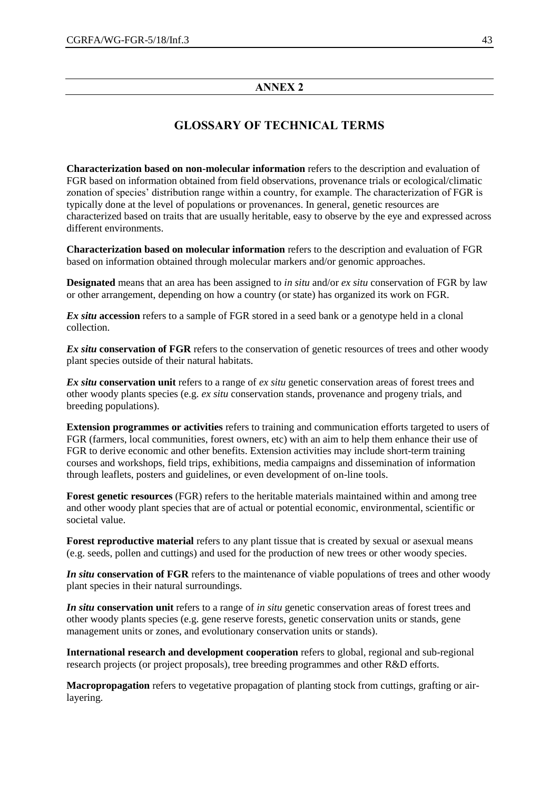#### **ANNEX 2**

# **GLOSSARY OF TECHNICAL TERMS**

**Characterization based on non-molecular information** refers to the description and evaluation of FGR based on information obtained from field observations, provenance trials or ecological/climatic zonation of species' distribution range within a country, for example. The characterization of FGR is typically done at the level of populations or provenances. In general, genetic resources are characterized based on traits that are usually heritable, easy to observe by the eye and expressed across different environments.

**Characterization based on molecular information** refers to the description and evaluation of FGR based on information obtained through molecular markers and/or genomic approaches.

**Designated** means that an area has been assigned to *in situ* and/or *ex situ* conservation of FGR by law or other arrangement, depending on how a country (or state) has organized its work on FGR.

*Ex situ* **accession** refers to a sample of FGR stored in a seed bank or a genotype held in a clonal collection.

*Ex situ* conservation of FGR refers to the conservation of genetic resources of trees and other woody plant species outside of their natural habitats.

*Ex situ* **conservation unit** refers to a range of *ex situ* genetic conservation areas of forest trees and other woody plants species (e.g. *ex situ* conservation stands, provenance and progeny trials, and breeding populations).

**Extension programmes or activities** refers to training and communication efforts targeted to users of FGR (farmers, local communities, forest owners, etc) with an aim to help them enhance their use of FGR to derive economic and other benefits. Extension activities may include short-term training courses and workshops, field trips, exhibitions, media campaigns and dissemination of information through leaflets, posters and guidelines, or even development of on-line tools.

**Forest genetic resources** (FGR) refers to the heritable materials maintained within and among tree and other woody plant species that are of actual or potential economic, environmental, scientific or societal value.

**Forest reproductive material** refers to any plant tissue that is created by sexual or asexual means (e.g. seeds, pollen and cuttings) and used for the production of new trees or other woody species.

*In situ* **conservation of FGR** refers to the maintenance of viable populations of trees and other woody plant species in their natural surroundings.

*In situ* **conservation unit** refers to a range of *in situ* genetic conservation areas of forest trees and other woody plants species (e.g. gene reserve forests, genetic conservation units or stands, gene management units or zones, and evolutionary conservation units or stands).

**International research and development cooperation** refers to global, regional and sub-regional research projects (or project proposals), tree breeding programmes and other R&D efforts.

**Macropropagation** refers to vegetative propagation of planting stock from cuttings, grafting or airlayering.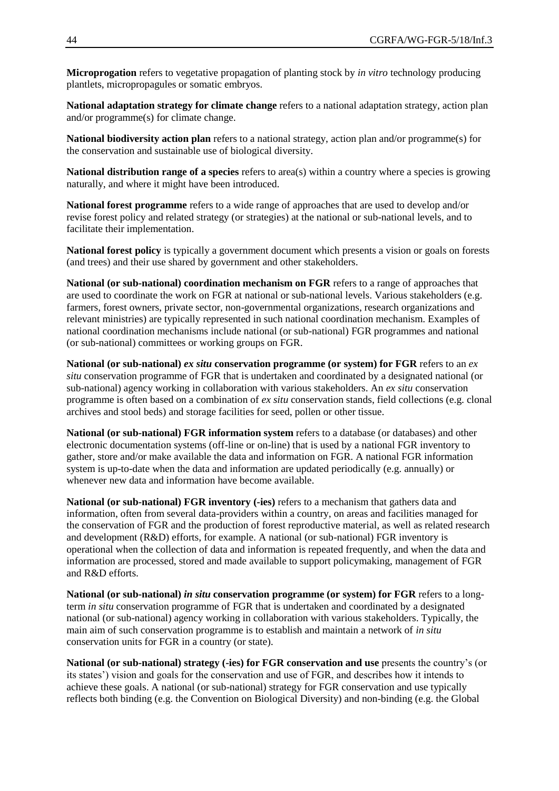**Microprogation** refers to vegetative propagation of planting stock by *in vitro* technology producing plantlets, micropropagules or somatic embryos.

**National adaptation strategy for climate change** refers to a national adaptation strategy, action plan and/or programme(s) for climate change.

**National biodiversity action plan** refers to a national strategy, action plan and/or programme(s) for the conservation and sustainable use of biological diversity.

**National distribution range of a species** refers to area(s) within a country where a species is growing naturally, and where it might have been introduced.

**National forest programme** refers to a wide range of approaches that are used to develop and/or revise forest policy and related strategy (or strategies) at the national or sub-national levels, and to facilitate their implementation.

**National forest policy** is typically a government document which presents a vision or goals on forests (and trees) and their use shared by government and other stakeholders.

**National (or sub-national) coordination mechanism on FGR** refers to a range of approaches that are used to coordinate the work on FGR at national or sub-national levels. Various stakeholders (e.g. farmers, forest owners, private sector, non-governmental organizations, research organizations and relevant ministries) are typically represented in such national coordination mechanism. Examples of national coordination mechanisms include national (or sub-national) FGR programmes and national (or sub-national) committees or working groups on FGR.

**National (or sub-national)** *ex situ* **conservation programme (or system) for FGR** refers to an *ex situ* conservation programme of FGR that is undertaken and coordinated by a designated national (or sub-national) agency working in collaboration with various stakeholders. An *ex situ* conservation programme is often based on a combination of *ex situ* conservation stands, field collections (e.g. clonal archives and stool beds) and storage facilities for seed, pollen or other tissue.

**National (or sub-national) FGR information system** refers to a database (or databases) and other electronic documentation systems (off-line or on-line) that is used by a national FGR inventory to gather, store and/or make available the data and information on FGR. A national FGR information system is up-to-date when the data and information are updated periodically (e.g. annually) or whenever new data and information have become available.

**National (or sub-national) FGR inventory (-ies)** refers to a mechanism that gathers data and information, often from several data-providers within a country, on areas and facilities managed for the conservation of FGR and the production of forest reproductive material, as well as related research and development (R&D) efforts, for example. A national (or sub-national) FGR inventory is operational when the collection of data and information is repeated frequently, and when the data and information are processed, stored and made available to support policymaking, management of FGR and R&D efforts.

**National (or sub-national)** *in situ* **conservation programme (or system) for FGR** refers to a longterm *in situ* conservation programme of FGR that is undertaken and coordinated by a designated national (or sub-national) agency working in collaboration with various stakeholders. Typically, the main aim of such conservation programme is to establish and maintain a network of *in situ* conservation units for FGR in a country (or state).

**National (or sub-national) strategy (-ies) for FGR conservation and use** presents the country's (or its states') vision and goals for the conservation and use of FGR, and describes how it intends to achieve these goals. A national (or sub-national) strategy for FGR conservation and use typically reflects both binding (e.g. the Convention on Biological Diversity) and non-binding (e.g. the Global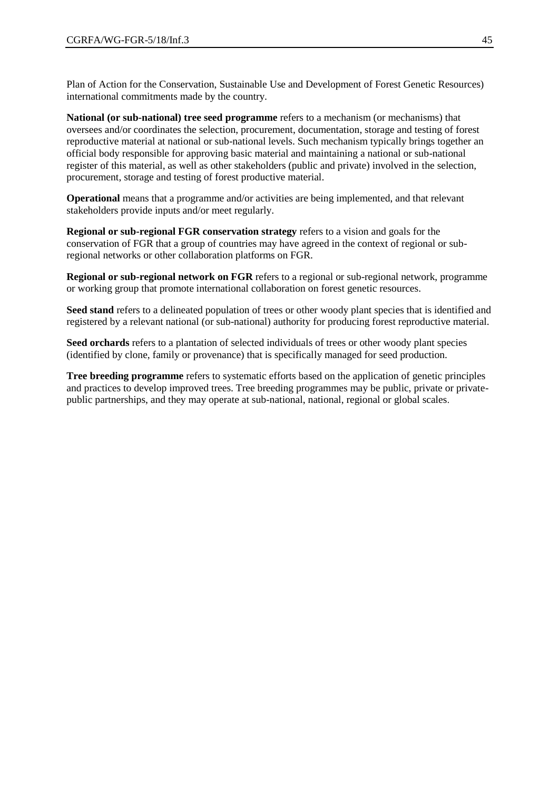Plan of Action for the Conservation, Sustainable Use and Development of Forest Genetic Resources) international commitments made by the country.

**National (or sub-national) tree seed programme** refers to a mechanism (or mechanisms) that oversees and/or coordinates the selection, procurement, documentation, storage and testing of forest reproductive material at national or sub-national levels. Such mechanism typically brings together an official body responsible for approving basic material and maintaining a national or sub-national register of this material, as well as other stakeholders (public and private) involved in the selection, procurement, storage and testing of forest productive material.

**Operational** means that a programme and/or activities are being implemented, and that relevant stakeholders provide inputs and/or meet regularly.

**Regional or sub-regional FGR conservation strategy** refers to a vision and goals for the conservation of FGR that a group of countries may have agreed in the context of regional or subregional networks or other collaboration platforms on FGR.

**Regional or sub-regional network on FGR** refers to a regional or sub-regional network, programme or working group that promote international collaboration on forest genetic resources.

**Seed stand** refers to a delineated population of trees or other woody plant species that is identified and registered by a relevant national (or sub-national) authority for producing forest reproductive material.

**Seed orchards** refers to a plantation of selected individuals of trees or other woody plant species (identified by clone, family or provenance) that is specifically managed for seed production.

**Tree breeding programme** refers to systematic efforts based on the application of genetic principles and practices to develop improved trees. Tree breeding programmes may be public, private or privatepublic partnerships, and they may operate at sub-national, national, regional or global scales.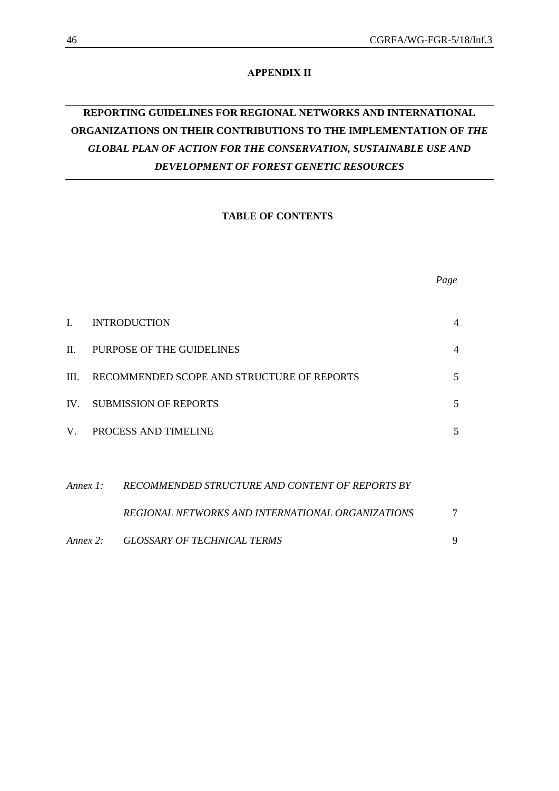#### **APPENDIX II**

# **REPORTING GUIDELINES FOR REGIONAL NETWORKS AND INTERNATIONAL ORGANIZATIONS ON THEIR CONTRIBUTIONS TO THE IMPLEMENTATION OF** *THE GLOBAL PLAN OF ACTION FOR THE CONSERVATION, SUSTAINABLE USE AND DEVELOPMENT OF FOREST GENETIC RESOURCES*

#### **TABLE OF CONTENTS**

| L           |                                            | <b>INTRODUCTION</b>                               | 4 |
|-------------|--------------------------------------------|---------------------------------------------------|---|
| $\Pi$ .     |                                            | PURPOSE OF THE GUIDELINES                         | 4 |
| III.        | RECOMMENDED SCOPE AND STRUCTURE OF REPORTS |                                                   |   |
|             | IV. SUBMISSION OF REPORTS                  |                                                   |   |
| $V_{\perp}$ |                                            | <b>PROCESS AND TIMELINE</b>                       | 5 |
|             |                                            |                                                   |   |
| Annex 1:    |                                            | RECOMMENDED STRUCTURE AND CONTENT OF REPORTS BY   |   |
|             |                                            | REGIONAL NETWORKS AND INTERNATIONAL ORGANIZATIONS | 7 |

| Annex 2: | <b>GLOSSARY OF TECHNICAL TERMS</b> |  |
|----------|------------------------------------|--|
|          |                                    |  |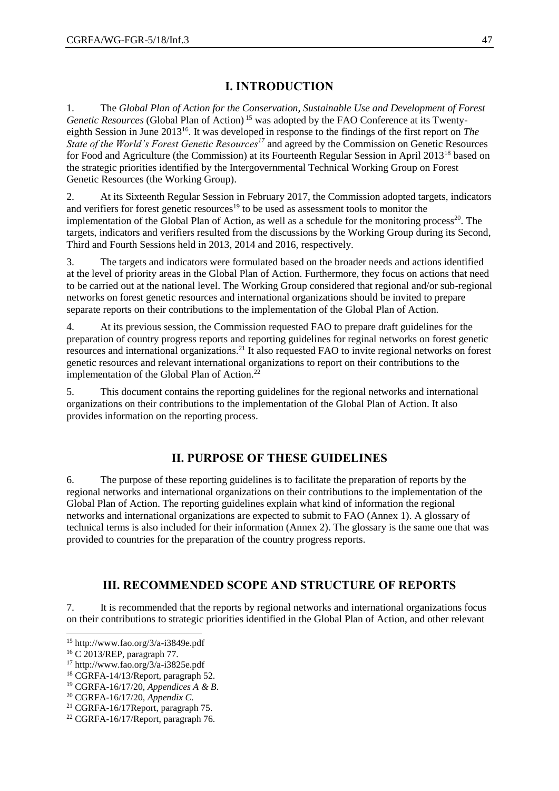# **I. INTRODUCTION**

1. The *Global Plan of Action for the Conservation, Sustainable Use and Development of Forest Genetic Resources* (Global Plan of Action) <sup>15</sup> was adopted by the FAO Conference at its Twentyeighth Session in June 2013<sup>16</sup>. It was developed in response to the findings of the first report on *The State of the World's Forest Genetic Resources<sup>17</sup>* and agreed by the Commission on Genetic Resources for Food and Agriculture (the Commission) at its Fourteenth Regular Session in April 2013<sup>18</sup> based on the strategic priorities identified by the Intergovernmental Technical Working Group on Forest Genetic Resources (the Working Group).

2. At its Sixteenth Regular Session in February 2017, the Commission adopted targets, indicators and verifiers for forest genetic resources<sup>19</sup> to be used as assessment tools to monitor the implementation of the Global Plan of Action, as well as a schedule for the monitoring process<sup>20</sup>. The targets, indicators and verifiers resulted from the discussions by the Working Group during its Second, Third and Fourth Sessions held in 2013, 2014 and 2016, respectively.

3. The targets and indicators were formulated based on the broader needs and actions identified at the level of priority areas in the Global Plan of Action. Furthermore, they focus on actions that need to be carried out at the national level. The Working Group considered that regional and/or sub-regional networks on forest genetic resources and international organizations should be invited to prepare separate reports on their contributions to the implementation of the Global Plan of Action.

4. At its previous session, the Commission requested FAO to prepare draft guidelines for the preparation of country progress reports and reporting guidelines for reginal networks on forest genetic resources and international organizations.<sup>21</sup> It also requested FAO to invite regional networks on forest genetic resources and relevant international organizations to report on their contributions to the implementation of the Global Plan of Action.<sup>22</sup>

5. This document contains the reporting guidelines for the regional networks and international organizations on their contributions to the implementation of the Global Plan of Action. It also provides information on the reporting process.

# **II. PURPOSE OF THESE GUIDELINES**

6. The purpose of these reporting guidelines is to facilitate the preparation of reports by the regional networks and international organizations on their contributions to the implementation of the Global Plan of Action. The reporting guidelines explain what kind of information the regional networks and international organizations are expected to submit to FAO (Annex 1). A glossary of technical terms is also included for their information (Annex 2). The glossary is the same one that was provided to countries for the preparation of the country progress reports.

# **III. RECOMMENDED SCOPE AND STRUCTURE OF REPORTS**

7. It is recommended that the reports by regional networks and international organizations focus on their contributions to strategic priorities identified in the Global Plan of Action, and other relevant

l

 $15$  http://www.fao.org/3/a-i3849e.pdf

<sup>16</sup> C 2013/REP, paragraph 77.

<sup>17</sup> http://www.fao.org/3/a-i3825e.pdf

<sup>18</sup> CGRFA-14/13/Report, paragraph 52.

<sup>19</sup> CGRFA-16/17/20, *Appendices A & B*.

<sup>20</sup> CGRFA-16/17/20, *Appendix C*.

<sup>21</sup> CGRFA-16/17Report, paragraph 75.

<sup>22</sup> CGRFA-16/17/Report, paragraph 76.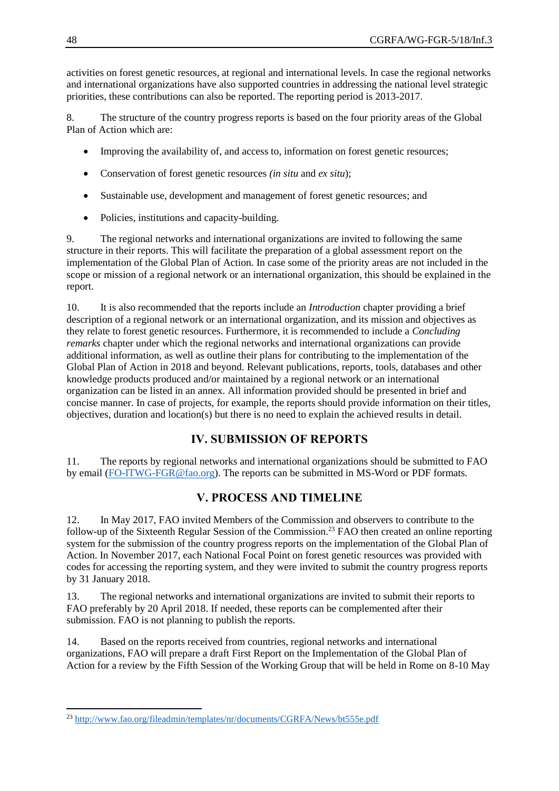activities on forest genetic resources, at regional and international levels. In case the regional networks and international organizations have also supported countries in addressing the national level strategic priorities, these contributions can also be reported. The reporting period is 2013-2017.

8. The structure of the country progress reports is based on the four priority areas of the Global Plan of Action which are:

- Improving the availability of, and access to, information on forest genetic resources;
- Conservation of forest genetic resources *(in situ* and *ex situ*);
- Sustainable use, development and management of forest genetic resources; and
- Policies, institutions and capacity-building.

9. The regional networks and international organizations are invited to following the same structure in their reports. This will facilitate the preparation of a global assessment report on the implementation of the Global Plan of Action. In case some of the priority areas are not included in the scope or mission of a regional network or an international organization, this should be explained in the report.

10. It is also recommended that the reports include an *Introduction* chapter providing a brief description of a regional network or an international organization, and its mission and objectives as they relate to forest genetic resources. Furthermore, it is recommended to include a *Concluding remarks* chapter under which the regional networks and international organizations can provide additional information, as well as outline their plans for contributing to the implementation of the Global Plan of Action in 2018 and beyond. Relevant publications, reports, tools, databases and other knowledge products produced and/or maintained by a regional network or an international organization can be listed in an annex. All information provided should be presented in brief and concise manner. In case of projects, for example, the reports should provide information on their titles, objectives, duration and location(s) but there is no need to explain the achieved results in detail.

# **IV. SUBMISSION OF REPORTS**

11. The reports by regional networks and international organizations should be submitted to FAO by email [\(FO-ITWG-FGR@fao.org\)](mailto:FO-ITWG-FGR@fao.org). The reports can be submitted in MS-Word or PDF formats.

# **V. PROCESS AND TIMELINE**

12. In May 2017, FAO invited Members of the Commission and observers to contribute to the follow-up of the Sixteenth Regular Session of the Commission.<sup>23</sup> FAO then created an online reporting system for the submission of the country progress reports on the implementation of the Global Plan of Action. In November 2017, each National Focal Point on forest genetic resources was provided with codes for accessing the reporting system, and they were invited to submit the country progress reports by 31 January 2018.

13. The regional networks and international organizations are invited to submit their reports to FAO preferably by 20 April 2018. If needed, these reports can be complemented after their submission. FAO is not planning to publish the reports.

14. Based on the reports received from countries, regional networks and international organizations, FAO will prepare a draft First Report on the Implementation of the Global Plan of Action for a review by the Fifth Session of the Working Group that will be held in Rome on 8-10 May

 $\overline{a}$ 

<sup>&</sup>lt;sup>23</sup> <http://www.fao.org/fileadmin/templates/nr/documents/CGRFA/News/bt555e.pdf>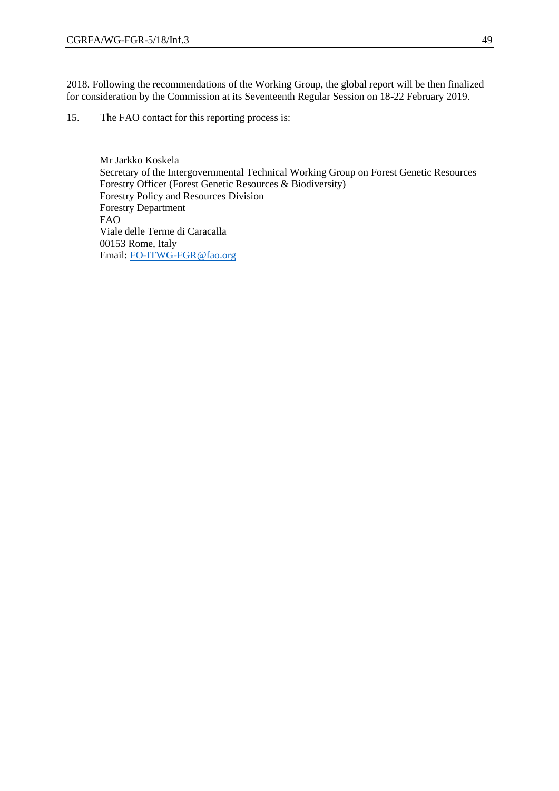2018. Following the recommendations of the Working Group, the global report will be then finalized for consideration by the Commission at its Seventeenth Regular Session on 18-22 February 2019.

15. The FAO contact for this reporting process is:

Mr Jarkko Koskela Secretary of the Intergovernmental Technical Working Group on Forest Genetic Resources Forestry Officer (Forest Genetic Resources & Biodiversity) Forestry Policy and Resources Division Forestry Department FAO Viale delle Terme di Caracalla 00153 Rome, Italy Email: [FO-ITWG-FGR@fao.org](mailto:FO-ITWG-FGR@fao.org)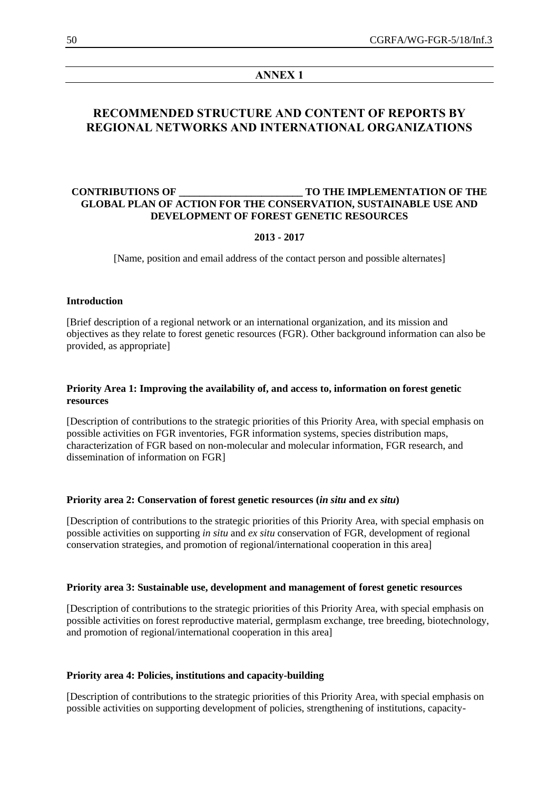#### **ANNEX 1**

## **RECOMMENDED STRUCTURE AND CONTENT OF REPORTS BY REGIONAL NETWORKS AND INTERNATIONAL ORGANIZATIONS**

#### **CONTRIBUTIONS OF \_\_\_\_\_\_\_\_\_\_\_\_\_\_\_\_\_\_\_\_\_\_\_\_ TO THE IMPLEMENTATION OF THE GLOBAL PLAN OF ACTION FOR THE CONSERVATION, SUSTAINABLE USE AND DEVELOPMENT OF FOREST GENETIC RESOURCES**

#### **2013 - 2017**

[Name, position and email address of the contact person and possible alternates]

#### **Introduction**

[Brief description of a regional network or an international organization, and its mission and objectives as they relate to forest genetic resources (FGR). Other background information can also be provided, as appropriate]

#### **Priority Area 1: Improving the availability of, and access to, information on forest genetic resources**

[Description of contributions to the strategic priorities of this Priority Area, with special emphasis on possible activities on FGR inventories, FGR information systems, species distribution maps, characterization of FGR based on non-molecular and molecular information, FGR research, and dissemination of information on FGR]

#### **Priority area 2: Conservation of forest genetic resources (***in situ* **and** *ex situ***)**

[Description of contributions to the strategic priorities of this Priority Area, with special emphasis on possible activities on supporting *in situ* and *ex situ* conservation of FGR, development of regional conservation strategies, and promotion of regional/international cooperation in this area]

#### **Priority area 3: Sustainable use, development and management of forest genetic resources**

[Description of contributions to the strategic priorities of this Priority Area, with special emphasis on possible activities on forest reproductive material, germplasm exchange, tree breeding, biotechnology, and promotion of regional/international cooperation in this area]

#### **Priority area 4: Policies, institutions and capacity-building**

[Description of contributions to the strategic priorities of this Priority Area, with special emphasis on possible activities on supporting development of policies, strengthening of institutions, capacity